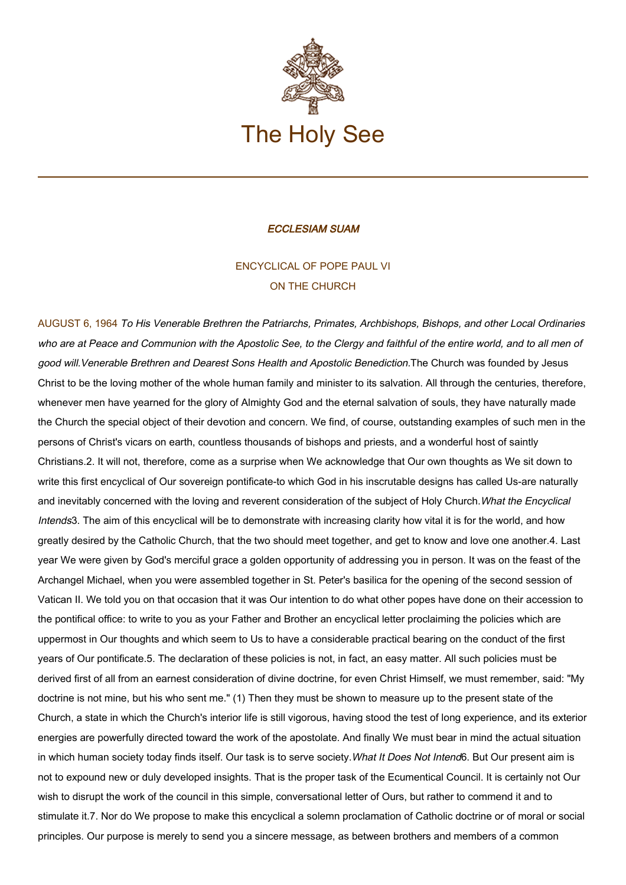

## ECCLESIAM SUAM

## ENCYCLICAL OF POPE PAUL VI ON THE CHURCH

AUGUST 6, 1964 To His Venerable Brethren the Patriarchs, Primates, Archbishops, Bishops, and other Local Ordinaries who are at Peace and Communion with the Apostolic See, to the Clergy and faithful of the entire world, and to all men of good will.Venerable Brethren and Dearest Sons Health and Apostolic Benediction.The Church was founded by Jesus Christ to be the loving mother of the whole human family and minister to its salvation. All through the centuries, therefore, whenever men have yearned for the glory of Almighty God and the eternal salvation of souls, they have naturally made the Church the special object of their devotion and concern. We find, of course, outstanding examples of such men in the persons of Christ's vicars on earth, countless thousands of bishops and priests, and a wonderful host of saintly Christians.2. It will not, therefore, come as a surprise when We acknowledge that Our own thoughts as We sit down to write this first encyclical of Our sovereign pontificate-to which God in his inscrutable designs has called Us-are naturally and inevitably concerned with the loving and reverent consideration of the subject of Holy Church. What the Encyclical Intends3. The aim of this encyclical will be to demonstrate with increasing clarity how vital it is for the world, and how greatly desired by the Catholic Church, that the two should meet together, and get to know and love one another.4. Last year We were given by God's merciful grace a golden opportunity of addressing you in person. It was on the feast of the Archangel Michael, when you were assembled together in St. Peter's basilica for the opening of the second session of Vatican II. We told you on that occasion that it was Our intention to do what other popes have done on their accession to the pontifical office: to write to you as your Father and Brother an encyclical letter proclaiming the policies which are uppermost in Our thoughts and which seem to Us to have a considerable practical bearing on the conduct of the first years of Our pontificate.5. The declaration of these policies is not, in fact, an easy matter. All such policies must be derived first of all from an earnest consideration of divine doctrine, for even Christ Himself, we must remember, said: "My doctrine is not mine, but his who sent me." (1) Then they must be shown to measure up to the present state of the Church, a state in which the Church's interior life is still vigorous, having stood the test of long experience, and its exterior energies are powerfully directed toward the work of the apostolate. And finally We must bear in mind the actual situation in which human society today finds itself. Our task is to serve society. What It Does Not Intend6. But Our present aim is not to expound new or duly developed insights. That is the proper task of the Ecumentical Council. It is certainly not Our wish to disrupt the work of the council in this simple, conversational letter of Ours, but rather to commend it and to stimulate it.7. Nor do We propose to make this encyclical a solemn proclamation of Catholic doctrine or of moral or social principles. Our purpose is merely to send you a sincere message, as between brothers and members of a common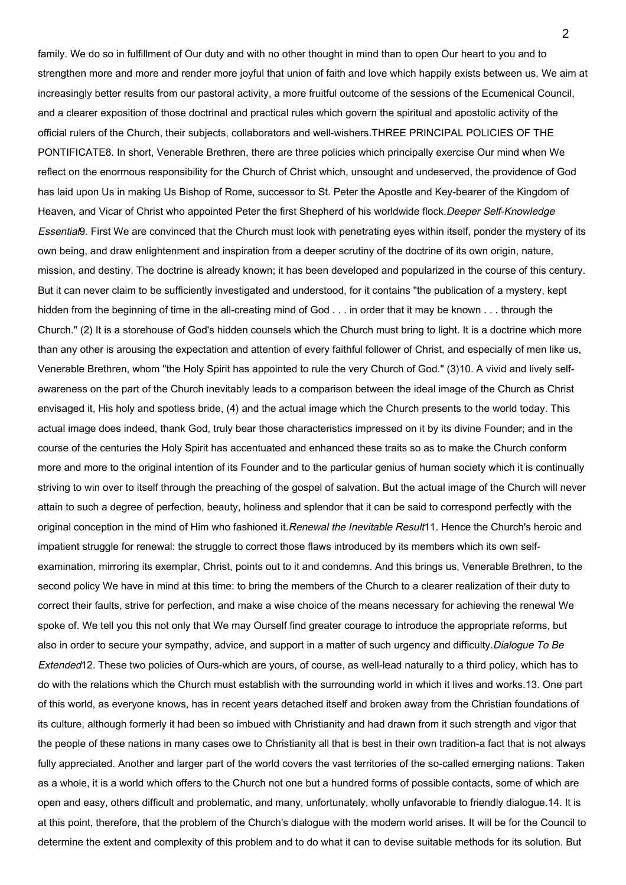family. We do so in fulfillment of Our duty and with no other thought in mind than to open Our heart to you and to strengthen more and more and render more joyful that union of faith and love which happily exists between us. We aim at increasingly better results from our pastoral activity, a more fruitful outcome of the sessions of the Ecumenical Council, and a clearer exposition of those doctrinal and practical rules which govern the spiritual and apostolic activity of the official rulers of the Church, their subjects, collaborators and well-wishers.THREE PRINCIPAL POLICIES OF THE PONTIFICATE8. In short, Venerable Brethren, there are three policies which principally exercise Our mind when We reflect on the enormous responsibility for the Church of Christ which, unsought and undeserved, the providence of God has laid upon Us in making Us Bishop of Rome, successor to St. Peter the Apostle and Key-bearer of the Kingdom of Heaven, and Vicar of Christ who appointed Peter the first Shepherd of his worldwide flock. Deeper Self-Knowledge Essential9. First We are convinced that the Church must look with penetrating eyes within itself, ponder the mystery of its own being, and draw enlightenment and inspiration from a deeper scrutiny of the doctrine of its own origin, nature, mission, and destiny. The doctrine is already known; it has been developed and popularized in the course of this century. But it can never claim to be sufficiently investigated and understood, for it contains "the publication of a mystery, kept hidden from the beginning of time in the all-creating mind of God . . . in order that it may be known . . . through the Church." (2) It is a storehouse of God's hidden counsels which the Church must bring to light. It is a doctrine which more than any other is arousing the expectation and attention of every faithful follower of Christ, and especially of men like us, Venerable Brethren, whom "the Holy Spirit has appointed to rule the very Church of God." (3)10. A vivid and lively selfawareness on the part of the Church inevitably leads to a comparison between the ideal image of the Church as Christ envisaged it, His holy and spotless bride, (4) and the actual image which the Church presents to the world today. This actual image does indeed, thank God, truly bear those characteristics impressed on it by its divine Founder; and in the course of the centuries the Holy Spirit has accentuated and enhanced these traits so as to make the Church conform more and more to the original intention of its Founder and to the particular genius of human society which it is continually striving to win over to itself through the preaching of the gospel of salvation. But the actual image of the Church will never attain to such a degree of perfection, beauty, holiness and splendor that it can be said to correspond perfectly with the original conception in the mind of Him who fashioned it. Renewal the Inevitable Result11. Hence the Church's heroic and impatient struggle for renewal: the struggle to correct those flaws introduced by its members which its own selfexamination, mirroring its exemplar, Christ, points out to it and condemns. And this brings us, Venerable Brethren, to the second policy We have in mind at this time: to bring the members of the Church to a clearer realization of their duty to correct their faults, strive for perfection, and make a wise choice of the means necessary for achieving the renewal We spoke of. We tell you this not only that We may Ourself find greater courage to introduce the appropriate reforms, but also in order to secure your sympathy, advice, and support in a matter of such urgency and difficulty. Dialogue To Be Extended12. These two policies of Ours-which are yours, of course, as well-lead naturally to a third policy, which has to do with the relations which the Church must establish with the surrounding world in which it lives and works.13. One part of this world, as everyone knows, has in recent years detached itself and broken away from the Christian foundations of its culture, although formerly it had been so imbued with Christianity and had drawn from it such strength and vigor that the people of these nations in many cases owe to Christianity all that is best in their own tradition-a fact that is not always fully appreciated. Another and larger part of the world covers the vast territories of the so-called emerging nations. Taken as a whole, it is a world which offers to the Church not one but a hundred forms of possible contacts, some of which are open and easy, others difficult and problematic, and many, unfortunately, wholly unfavorable to friendly dialogue.14. It is at this point, therefore, that the problem of the Church's dialogue with the modern world arises. It will be for the Council to determine the extent and complexity of this problem and to do what it can to devise suitable methods for its solution. But

 $\mathfrak{p}$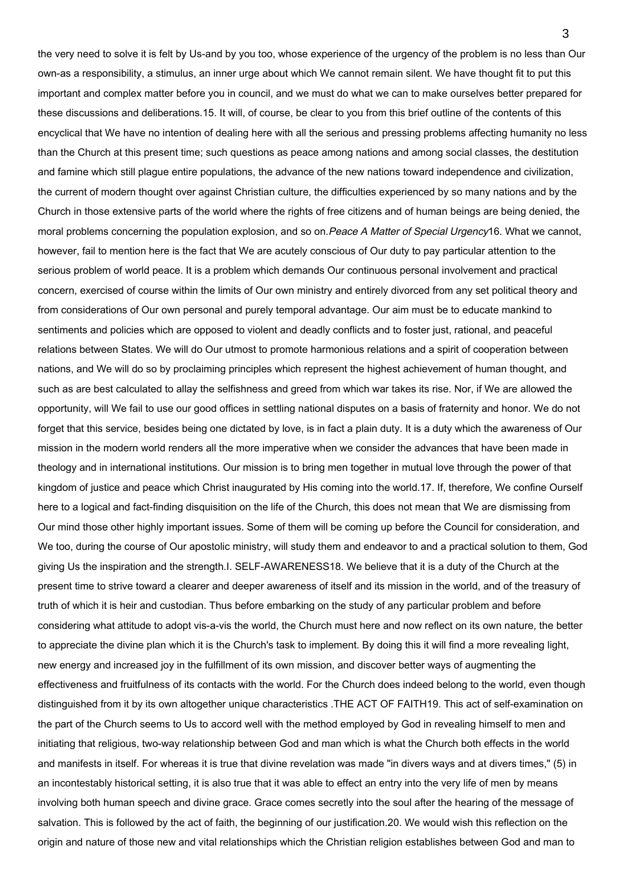the very need to solve it is felt by Us-and by you too, whose experience of the urgency of the problem is no less than Our own-as a responsibility, a stimulus, an inner urge about which We cannot remain silent. We have thought fit to put this important and complex matter before you in council, and we must do what we can to make ourselves better prepared for these discussions and deliberations.15. It will, of course, be clear to you from this brief outline of the contents of this encyclical that We have no intention of dealing here with all the serious and pressing problems affecting humanity no less than the Church at this present time; such questions as peace among nations and among social classes, the destitution and famine which still plague entire populations, the advance of the new nations toward independence and civilization, the current of modern thought over against Christian culture, the difficulties experienced by so many nations and by the Church in those extensive parts of the world where the rights of free citizens and of human beings are being denied, the moral problems concerning the population explosion, and so on. Peace A Matter of Special Urgency16. What we cannot, however, fail to mention here is the fact that We are acutely conscious of Our duty to pay particular attention to the serious problem of world peace. It is a problem which demands Our continuous personal involvement and practical concern, exercised of course within the limits of Our own ministry and entirely divorced from any set political theory and from considerations of Our own personal and purely temporal advantage. Our aim must be to educate mankind to sentiments and policies which are opposed to violent and deadly conflicts and to foster just, rational, and peaceful relations between States. We will do Our utmost to promote harmonious relations and a spirit of cooperation between nations, and We will do so by proclaiming principles which represent the highest achievement of human thought, and such as are best calculated to allay the selfishness and greed from which war takes its rise. Nor, if We are allowed the opportunity, will We fail to use our good offices in settling national disputes on a basis of fraternity and honor. We do not forget that this service, besides being one dictated by love, is in fact a plain duty. It is a duty which the awareness of Our mission in the modern world renders all the more imperative when we consider the advances that have been made in theology and in international institutions. Our mission is to bring men together in mutual love through the power of that kingdom of justice and peace which Christ inaugurated by His coming into the world.17. If, therefore, We confine Ourself here to a logical and fact-finding disquisition on the life of the Church, this does not mean that We are dismissing from Our mind those other highly important issues. Some of them will be coming up before the Council for consideration, and We too, during the course of Our apostolic ministry, will study them and endeavor to and a practical solution to them, God giving Us the inspiration and the strength.I. SELF-AWARENESS18. We believe that it is a duty of the Church at the present time to strive toward a clearer and deeper awareness of itself and its mission in the world, and of the treasury of truth of which it is heir and custodian. Thus before embarking on the study of any particular problem and before considering what attitude to adopt vis-a-vis the world, the Church must here and now reflect on its own nature, the better to appreciate the divine plan which it is the Church's task to implement. By doing this it will find a more revealing light, new energy and increased joy in the fulfillment of its own mission, and discover better ways of augmenting the effectiveness and fruitfulness of its contacts with the world. For the Church does indeed belong to the world, even though distinguished from it by its own altogether unique characteristics .THE ACT OF FAITH19. This act of self-examination on the part of the Church seems to Us to accord well with the method employed by God in revealing himself to men and initiating that religious, two-way relationship between God and man which is what the Church both effects in the world and manifests in itself. For whereas it is true that divine revelation was made "in divers ways and at divers times," (5) in an incontestably historical setting, it is also true that it was able to effect an entry into the very life of men by means involving both human speech and divine grace. Grace comes secretly into the soul after the hearing of the message of salvation. This is followed by the act of faith, the beginning of our justification.20. We would wish this reflection on the origin and nature of those new and vital relationships which the Christian religion establishes between God and man to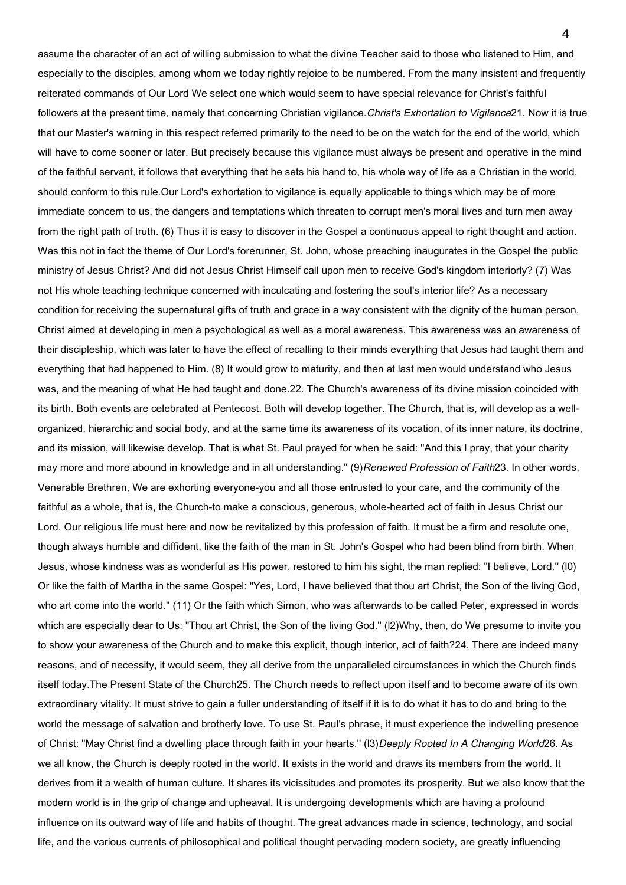assume the character of an act of willing submission to what the divine Teacher said to those who listened to Him, and especially to the disciples, among whom we today rightly rejoice to be numbered. From the many insistent and frequently reiterated commands of Our Lord We select one which would seem to have special relevance for Christ's faithful followers at the present time, namely that concerning Christian vigilance. Christ's Exhortation to Vigilance21. Now it is true that our Master's warning in this respect referred primarily to the need to be on the watch for the end of the world, which will have to come sooner or later. But precisely because this vigilance must always be present and operative in the mind of the faithful servant, it follows that everything that he sets his hand to, his whole way of life as a Christian in the world, should conform to this rule.Our Lord's exhortation to vigilance is equally applicable to things which may be of more immediate concern to us, the dangers and temptations which threaten to corrupt men's moral lives and turn men away from the right path of truth. (6) Thus it is easy to discover in the Gospel a continuous appeal to right thought and action. Was this not in fact the theme of Our Lord's forerunner, St. John, whose preaching inaugurates in the Gospel the public ministry of Jesus Christ? And did not Jesus Christ Himself call upon men to receive God's kingdom interiorly? (7) Was not His whole teaching technique concerned with inculcating and fostering the soul's interior life? As a necessary condition for receiving the supernatural gifts of truth and grace in a way consistent with the dignity of the human person, Christ aimed at developing in men a psychological as well as a moral awareness. This awareness was an awareness of their discipleship, which was later to have the effect of recalling to their minds everything that Jesus had taught them and everything that had happened to Him. (8) It would grow to maturity, and then at last men would understand who Jesus was, and the meaning of what He had taught and done.22. The Church's awareness of its divine mission coincided with its birth. Both events are celebrated at Pentecost. Both will develop together. The Church, that is, will develop as a wellorganized, hierarchic and social body, and at the same time its awareness of its vocation, of its inner nature, its doctrine, and its mission, will likewise develop. That is what St. Paul prayed for when he said: "And this I pray, that your charity may more and more abound in knowledge and in all understanding." (9) Renewed Profession of Faith23. In other words, Venerable Brethren, We are exhorting everyone-you and all those entrusted to your care, and the community of the faithful as a whole, that is, the Church-to make a conscious, generous, whole-hearted act of faith in Jesus Christ our Lord. Our religious life must here and now be revitalized by this profession of faith. It must be a firm and resolute one, though always humble and diffident, like the faith of the man in St. John's Gospel who had been blind from birth. When Jesus, whose kindness was as wonderful as His power, restored to him his sight, the man replied: "I believe, Lord.'' (l0) Or like the faith of Martha in the same Gospel: "Yes, Lord, I have believed that thou art Christ, the Son of the living God, who art come into the world.'' (11) Or the faith which Simon, who was afterwards to be called Peter, expressed in words which are especially dear to Us: "Thou art Christ, the Son of the living God.'' (l2)Why, then, do We presume to invite you to show your awareness of the Church and to make this explicit, though interior, act of faith?24. There are indeed many reasons, and of necessity, it would seem, they all derive from the unparalleled circumstances in which the Church finds itself today.The Present State of the Church25. The Church needs to reflect upon itself and to become aware of its own extraordinary vitality. It must strive to gain a fuller understanding of itself if it is to do what it has to do and bring to the world the message of salvation and brotherly love. To use St. Paul's phrase, it must experience the indwelling presence of Christ: "May Christ find a dwelling place through faith in your hearts.'' (l3)Deeply Rooted In A Changing World26. As we all know, the Church is deeply rooted in the world. It exists in the world and draws its members from the world. It derives from it a wealth of human culture. It shares its vicissitudes and promotes its prosperity. But we also know that the modern world is in the grip of change and upheaval. It is undergoing developments which are having a profound influence on its outward way of life and habits of thought. The great advances made in science, technology, and social life, and the various currents of philosophical and political thought pervading modern society, are greatly influencing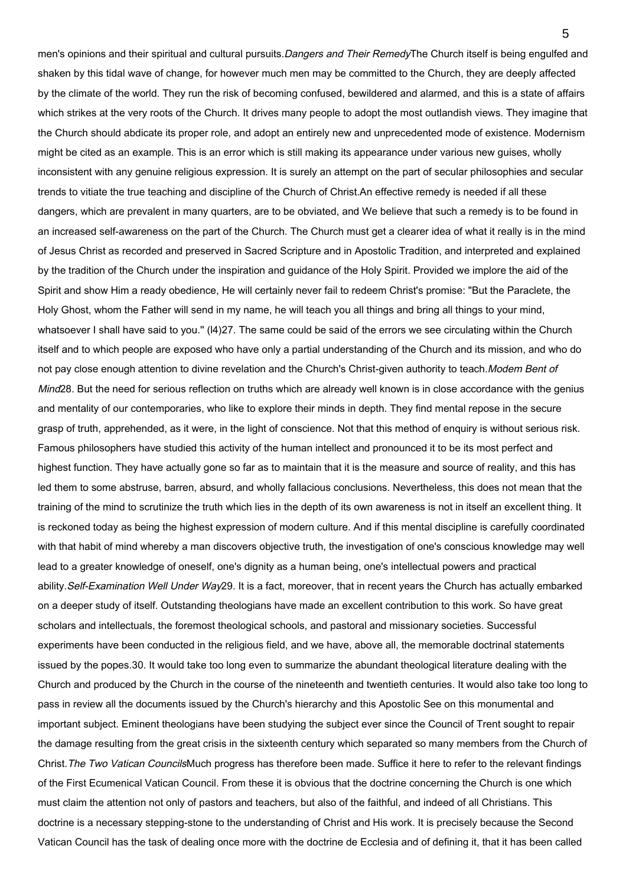men's opinions and their spiritual and cultural pursuits.Dangers and Their RemedyThe Church itself is being engulfed and shaken by this tidal wave of change, for however much men may be committed to the Church, they are deeply affected by the climate of the world. They run the risk of becoming confused, bewildered and alarmed, and this is a state of affairs which strikes at the very roots of the Church. It drives many people to adopt the most outlandish views. They imagine that the Church should abdicate its proper role, and adopt an entirely new and unprecedented mode of existence. Modernism might be cited as an example. This is an error which is still making its appearance under various new guises, wholly inconsistent with any genuine religious expression. It is surely an attempt on the part of secular philosophies and secular trends to vitiate the true teaching and discipline of the Church of Christ.An effective remedy is needed if all these dangers, which are prevalent in many quarters, are to be obviated, and We believe that such a remedy is to be found in an increased self-awareness on the part of the Church. The Church must get a clearer idea of what it really is in the mind of Jesus Christ as recorded and preserved in Sacred Scripture and in Apostolic Tradition, and interpreted and explained by the tradition of the Church under the inspiration and guidance of the Holy Spirit. Provided we implore the aid of the Spirit and show Him a ready obedience, He will certainly never fail to redeem Christ's promise: "But the Paraclete, the Holy Ghost, whom the Father will send in my name, he will teach you all things and bring all things to your mind, whatsoever I shall have said to you." (14) 27. The same could be said of the errors we see circulating within the Church itself and to which people are exposed who have only a partial understanding of the Church and its mission, and who do not pay close enough attention to divine revelation and the Church's Christ-given authority to teach. Modem Bent of Mind28. But the need for serious reflection on truths which are already well known is in close accordance with the genius and mentality of our contemporaries, who like to explore their minds in depth. They find mental repose in the secure grasp of truth, apprehended, as it were, in the light of conscience. Not that this method of enquiry is without serious risk. Famous philosophers have studied this activity of the human intellect and pronounced it to be its most perfect and highest function. They have actually gone so far as to maintain that it is the measure and source of reality, and this has led them to some abstruse, barren, absurd, and wholly fallacious conclusions. Nevertheless, this does not mean that the training of the mind to scrutinize the truth which lies in the depth of its own awareness is not in itself an excellent thing. It is reckoned today as being the highest expression of modern culture. And if this mental discipline is carefully coordinated with that habit of mind whereby a man discovers objective truth, the investigation of one's conscious knowledge may well lead to a greater knowledge of oneself, one's dignity as a human being, one's intellectual powers and practical ability. Self-Examination Well Under Way29. It is a fact, moreover, that in recent years the Church has actually embarked on a deeper study of itself. Outstanding theologians have made an excellent contribution to this work. So have great scholars and intellectuals, the foremost theological schools, and pastoral and missionary societies. Successful experiments have been conducted in the religious field, and we have, above all, the memorable doctrinal statements issued by the popes.30. It would take too long even to summarize the abundant theological literature dealing with the Church and produced by the Church in the course of the nineteenth and twentieth centuries. It would also take too long to pass in review all the documents issued by the Church's hierarchy and this Apostolic See on this monumental and important subject. Eminent theologians have been studying the subject ever since the Council of Trent sought to repair the damage resulting from the great crisis in the sixteenth century which separated so many members from the Church of Christ. The Two Vatican CouncilsMuch progress has therefore been made. Suffice it here to refer to the relevant findings of the First Ecumenical Vatican Council. From these it is obvious that the doctrine concerning the Church is one which must claim the attention not only of pastors and teachers, but also of the faithful, and indeed of all Christians. This doctrine is a necessary stepping-stone to the understanding of Christ and His work. It is precisely because the Second Vatican Council has the task of dealing once more with the doctrine de Ecclesia and of defining it, that it has been called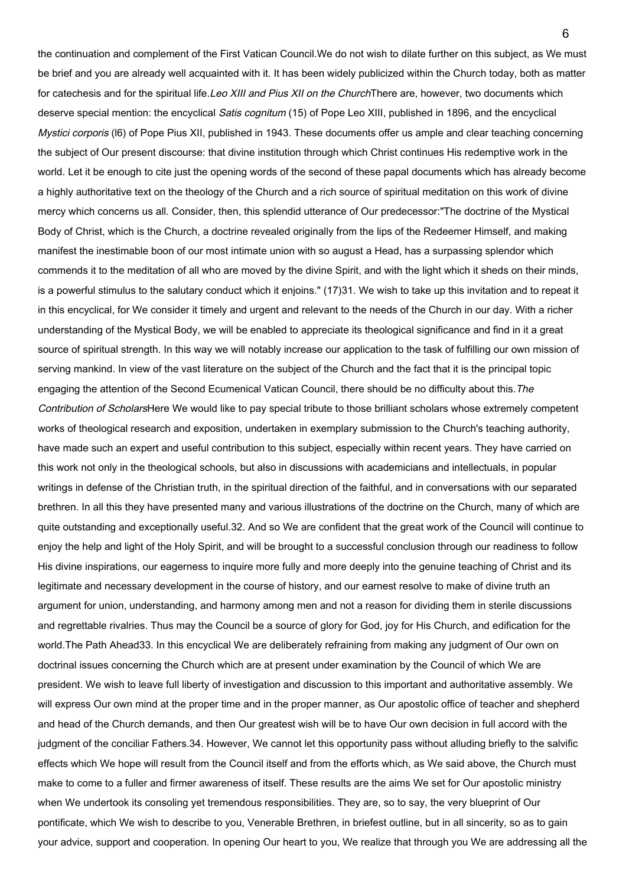the continuation and complement of the First Vatican Council.We do not wish to dilate further on this subject, as We must be brief and you are already well acquainted with it. It has been widely publicized within the Church today, both as matter for catechesis and for the spiritual life. Leo XIII and Pius XII on the ChurchThere are, however, two documents which deserve special mention: the encyclical Satis cognitum (15) of Pope Leo XIII, published in 1896, and the encyclical Mystici corporis (l6) of Pope Pius XII, published in 1943. These documents offer us ample and clear teaching concerning the subject of Our present discourse: that divine institution through which Christ continues His redemptive work in the world. Let it be enough to cite just the opening words of the second of these papal documents which has already become a highly authoritative text on the theology of the Church and a rich source of spiritual meditation on this work of divine mercy which concerns us all. Consider, then, this splendid utterance of Our predecessor:"The doctrine of the Mystical Body of Christ, which is the Church, a doctrine revealed originally from the lips of the Redeemer Himself, and making manifest the inestimable boon of our most intimate union with so august a Head, has a surpassing splendor which commends it to the meditation of all who are moved by the divine Spirit, and with the light which it sheds on their minds, is a powerful stimulus to the salutary conduct which it enjoins." (17)31. We wish to take up this invitation and to repeat it in this encyclical, for We consider it timely and urgent and relevant to the needs of the Church in our day. With a richer understanding of the Mystical Body, we will be enabled to appreciate its theological significance and find in it a great source of spiritual strength. In this way we will notably increase our application to the task of fulfilling our own mission of serving mankind. In view of the vast literature on the subject of the Church and the fact that it is the principal topic engaging the attention of the Second Ecumenical Vatican Council, there should be no difficulty about this.The Contribution of ScholarsHere We would like to pay special tribute to those brilliant scholars whose extremely competent works of theological research and exposition, undertaken in exemplary submission to the Church's teaching authority, have made such an expert and useful contribution to this subject, especially within recent years. They have carried on this work not only in the theological schools, but also in discussions with academicians and intellectuals, in popular writings in defense of the Christian truth, in the spiritual direction of the faithful, and in conversations with our separated brethren. In all this they have presented many and various illustrations of the doctrine on the Church, many of which are quite outstanding and exceptionally useful.32. And so We are confident that the great work of the Council will continue to enjoy the help and light of the Holy Spirit, and will be brought to a successful conclusion through our readiness to follow His divine inspirations, our eagerness to inquire more fully and more deeply into the genuine teaching of Christ and its legitimate and necessary development in the course of history, and our earnest resolve to make of divine truth an argument for union, understanding, and harmony among men and not a reason for dividing them in sterile discussions and regrettable rivalries. Thus may the Council be a source of glory for God, joy for His Church, and edification for the world.The Path Ahead33. In this encyclical We are deliberately refraining from making any judgment of Our own on doctrinal issues concerning the Church which are at present under examination by the Council of which We are president. We wish to leave full liberty of investigation and discussion to this important and authoritative assembly. We will express Our own mind at the proper time and in the proper manner, as Our apostolic office of teacher and shepherd and head of the Church demands, and then Our greatest wish will be to have Our own decision in full accord with the judgment of the conciliar Fathers.34. However, We cannot let this opportunity pass without alluding briefly to the salvific effects which We hope will result from the Council itself and from the efforts which, as We said above, the Church must make to come to a fuller and firmer awareness of itself. These results are the aims We set for Our apostolic ministry when We undertook its consoling yet tremendous responsibilities. They are, so to say, the very blueprint of Our pontificate, which We wish to describe to you, Venerable Brethren, in briefest outline, but in all sincerity, so as to gain your advice, support and cooperation. In opening Our heart to you, We realize that through you We are addressing all the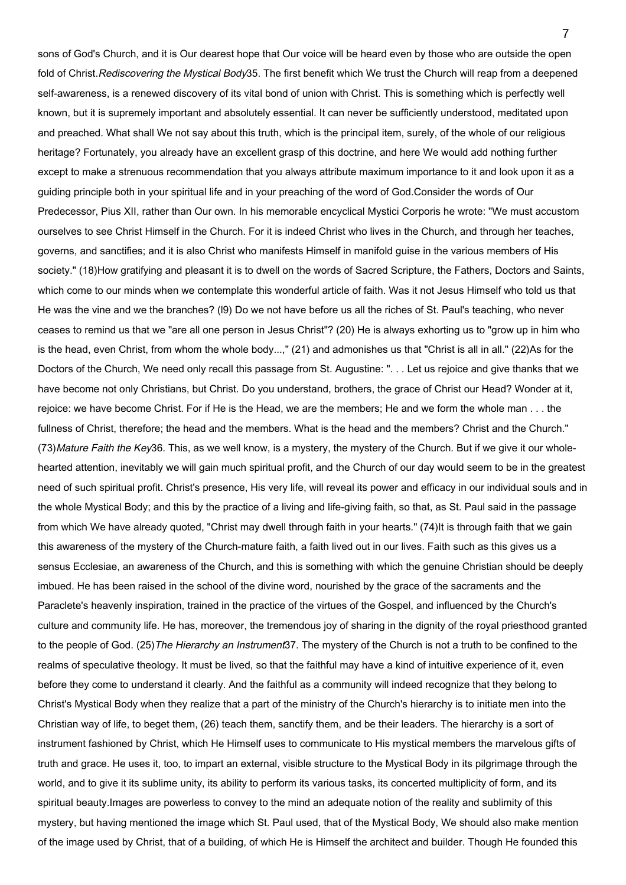sons of God's Church, and it is Our dearest hope that Our voice will be heard even by those who are outside the open fold of Christ. Rediscovering the Mystical Body35. The first benefit which We trust the Church will reap from a deepened self-awareness, is a renewed discovery of its vital bond of union with Christ. This is something which is perfectly well known, but it is supremely important and absolutely essential. It can never be sufficiently understood, meditated upon and preached. What shall We not say about this truth, which is the principal item, surely, of the whole of our religious heritage? Fortunately, you already have an excellent grasp of this doctrine, and here We would add nothing further except to make a strenuous recommendation that you always attribute maximum importance to it and look upon it as a guiding principle both in your spiritual life and in your preaching of the word of God.Consider the words of Our Predecessor, Pius XII, rather than Our own. In his memorable encyclical Mystici Corporis he wrote: "We must accustom ourselves to see Christ Himself in the Church. For it is indeed Christ who lives in the Church, and through her teaches, governs, and sanctifies; and it is also Christ who manifests Himself in manifold guise in the various members of His society." (18)How gratifying and pleasant it is to dwell on the words of Sacred Scripture, the Fathers, Doctors and Saints, which come to our minds when we contemplate this wonderful article of faith. Was it not Jesus Himself who told us that He was the vine and we the branches? (l9) Do we not have before us all the riches of St. Paul's teaching, who never ceases to remind us that we "are all one person in Jesus Christ"? (20) He is always exhorting us to "grow up in him who is the head, even Christ, from whom the whole body...," (21) and admonishes us that "Christ is all in all." (22)As for the Doctors of the Church, We need only recall this passage from St. Augustine: ". . . Let us rejoice and give thanks that we have become not only Christians, but Christ. Do you understand, brothers, the grace of Christ our Head? Wonder at it, rejoice: we have become Christ. For if He is the Head, we are the members; He and we form the whole man . . . the fullness of Christ, therefore; the head and the members. What is the head and the members? Christ and the Church." (73) Mature Faith the Key36. This, as we well know, is a mystery, the mystery of the Church. But if we give it our wholehearted attention, inevitably we will gain much spiritual profit, and the Church of our day would seem to be in the greatest need of such spiritual profit. Christ's presence, His very life, will reveal its power and efficacy in our individual souls and in the whole Mystical Body; and this by the practice of a living and life-giving faith, so that, as St. Paul said in the passage from which We have already quoted, "Christ may dwell through faith in your hearts." (74)It is through faith that we gain this awareness of the mystery of the Church-mature faith, a faith lived out in our lives. Faith such as this gives us a sensus Ecclesiae, an awareness of the Church, and this is something with which the genuine Christian should be deeply imbued. He has been raised in the school of the divine word, nourished by the grace of the sacraments and the Paraclete's heavenly inspiration, trained in the practice of the virtues of the Gospel, and influenced by the Church's culture and community life. He has, moreover, the tremendous joy of sharing in the dignity of the royal priesthood granted to the people of God. (25) The Hierarchy an Instrument 37. The mystery of the Church is not a truth to be confined to the realms of speculative theology. It must be lived, so that the faithful may have a kind of intuitive experience of it, even before they come to understand it clearly. And the faithful as a community will indeed recognize that they belong to Christ's Mystical Body when they realize that a part of the ministry of the Church's hierarchy is to initiate men into the Christian way of life, to beget them, (26) teach them, sanctify them, and be their leaders. The hierarchy is a sort of instrument fashioned by Christ, which He Himself uses to communicate to His mystical members the marvelous gifts of truth and grace. He uses it, too, to impart an external, visible structure to the Mystical Body in its pilgrimage through the world, and to give it its sublime unity, its ability to perform its various tasks, its concerted multiplicity of form, and its spiritual beauty.Images are powerless to convey to the mind an adequate notion of the reality and sublimity of this mystery, but having mentioned the image which St. Paul used, that of the Mystical Body, We should also make mention of the image used by Christ, that of a building, of which He is Himself the architect and builder. Though He founded this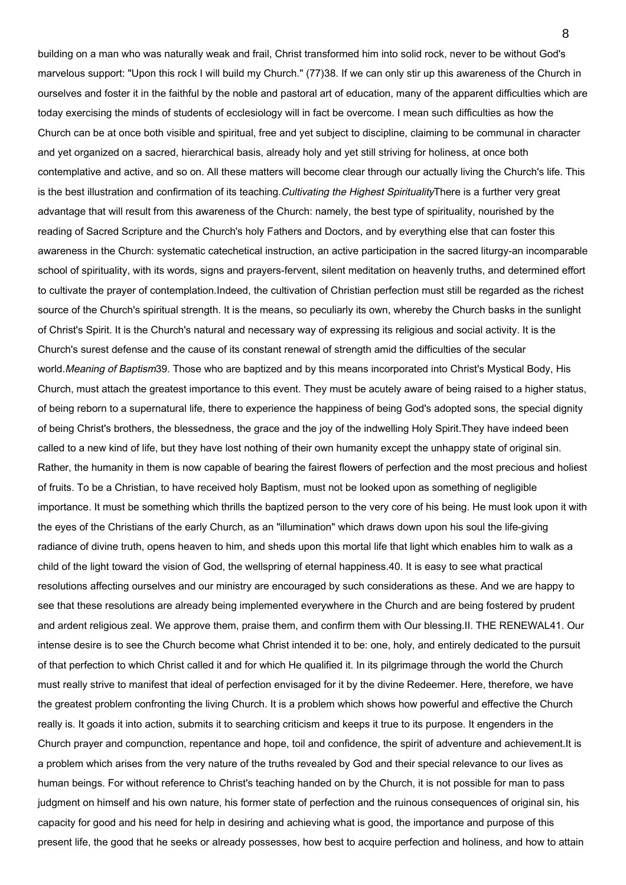building on a man who was naturally weak and frail, Christ transformed him into solid rock, never to be without God's marvelous support: "Upon this rock I will build my Church." (77)38. If we can only stir up this awareness of the Church in ourselves and foster it in the faithful by the noble and pastoral art of education, many of the apparent difficulties which are today exercising the minds of students of ecclesiology will in fact be overcome. I mean such difficulties as how the Church can be at once both visible and spiritual, free and yet subject to discipline, claiming to be communal in character and yet organized on a sacred, hierarchical basis, already holy and yet still striving for holiness, at once both contemplative and active, and so on. All these matters will become clear through our actually living the Church's life. This is the best illustration and confirmation of its teaching. Cultivating the Highest SpiritualityThere is a further very great advantage that will result from this awareness of the Church: namely, the best type of spirituality, nourished by the reading of Sacred Scripture and the Church's holy Fathers and Doctors, and by everything else that can foster this awareness in the Church: systematic catechetical instruction, an active participation in the sacred liturgy-an incomparable school of spirituality, with its words, signs and prayers-fervent, silent meditation on heavenly truths, and determined effort to cultivate the prayer of contemplation.Indeed, the cultivation of Christian perfection must still be regarded as the richest source of the Church's spiritual strength. It is the means, so peculiarly its own, whereby the Church basks in the sunlight of Christ's Spirit. It is the Church's natural and necessary way of expressing its religious and social activity. It is the Church's surest defense and the cause of its constant renewal of strength amid the difficulties of the secular world. Meaning of Baptism39. Those who are baptized and by this means incorporated into Christ's Mystical Body, His Church, must attach the greatest importance to this event. They must be acutely aware of being raised to a higher status, of being reborn to a supernatural life, there to experience the happiness of being God's adopted sons, the special dignity of being Christ's brothers, the blessedness, the grace and the joy of the indwelling Holy Spirit.They have indeed been called to a new kind of life, but they have lost nothing of their own humanity except the unhappy state of original sin. Rather, the humanity in them is now capable of bearing the fairest flowers of perfection and the most precious and holiest of fruits. To be a Christian, to have received holy Baptism, must not be looked upon as something of negligible importance. It must be something which thrills the baptized person to the very core of his being. He must look upon it with the eyes of the Christians of the early Church, as an "illumination" which draws down upon his soul the life-giving radiance of divine truth, opens heaven to him, and sheds upon this mortal life that light which enables him to walk as a child of the light toward the vision of God, the wellspring of eternal happiness.40. It is easy to see what practical resolutions affecting ourselves and our ministry are encouraged by such considerations as these. And we are happy to see that these resolutions are already being implemented everywhere in the Church and are being fostered by prudent and ardent religious zeal. We approve them, praise them, and confirm them with Our blessing.II. THE RENEWAL41. Our intense desire is to see the Church become what Christ intended it to be: one, holy, and entirely dedicated to the pursuit of that perfection to which Christ called it and for which He qualified it. In its pilgrimage through the world the Church must really strive to manifest that ideal of perfection envisaged for it by the divine Redeemer. Here, therefore, we have the greatest problem confronting the living Church. It is a problem which shows how powerful and effective the Church really is. It goads it into action, submits it to searching criticism and keeps it true to its purpose. It engenders in the Church prayer and compunction, repentance and hope, toil and confidence, the spirit of adventure and achievement.It is a problem which arises from the very nature of the truths revealed by God and their special relevance to our lives as human beings. For without reference to Christ's teaching handed on by the Church, it is not possible for man to pass judgment on himself and his own nature, his former state of perfection and the ruinous consequences of original sin, his capacity for good and his need for help in desiring and achieving what is good, the importance and purpose of this present life, the good that he seeks or already possesses, how best to acquire perfection and holiness, and how to attain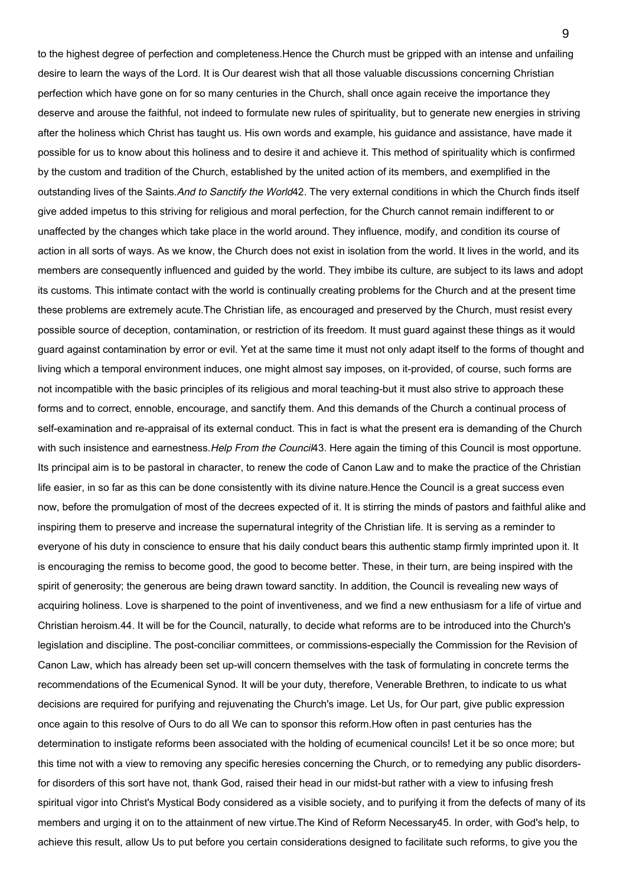to the highest degree of perfection and completeness.Hence the Church must be gripped with an intense and unfailing desire to learn the ways of the Lord. It is Our dearest wish that all those valuable discussions concerning Christian perfection which have gone on for so many centuries in the Church, shall once again receive the importance they deserve and arouse the faithful, not indeed to formulate new rules of spirituality, but to generate new energies in striving after the holiness which Christ has taught us. His own words and example, his guidance and assistance, have made it possible for us to know about this holiness and to desire it and achieve it. This method of spirituality which is confirmed by the custom and tradition of the Church, established by the united action of its members, and exemplified in the outstanding lives of the Saints. And to Sanctify the World42. The very external conditions in which the Church finds itself give added impetus to this striving for religious and moral perfection, for the Church cannot remain indifferent to or unaffected by the changes which take place in the world around. They influence, modify, and condition its course of action in all sorts of ways. As we know, the Church does not exist in isolation from the world. It lives in the world, and its members are consequently influenced and guided by the world. They imbibe its culture, are subject to its laws and adopt its customs. This intimate contact with the world is continually creating problems for the Church and at the present time these problems are extremely acute.The Christian life, as encouraged and preserved by the Church, must resist every possible source of deception, contamination, or restriction of its freedom. It must guard against these things as it would guard against contamination by error or evil. Yet at the same time it must not only adapt itself to the forms of thought and living which a temporal environment induces, one might almost say imposes, on it-provided, of course, such forms are not incompatible with the basic principles of its religious and moral teaching-but it must also strive to approach these forms and to correct, ennoble, encourage, and sanctify them. And this demands of the Church a continual process of self-examination and re-appraisal of its external conduct. This in fact is what the present era is demanding of the Church with such insistence and earnestness. Help From the Council 43. Here again the timing of this Council is most opportune. Its principal aim is to be pastoral in character, to renew the code of Canon Law and to make the practice of the Christian life easier, in so far as this can be done consistently with its divine nature.Hence the Council is a great success even now, before the promulgation of most of the decrees expected of it. It is stirring the minds of pastors and faithful alike and inspiring them to preserve and increase the supernatural integrity of the Christian life. It is serving as a reminder to everyone of his duty in conscience to ensure that his daily conduct bears this authentic stamp firmly imprinted upon it. It is encouraging the remiss to become good, the good to become better. These, in their turn, are being inspired with the spirit of generosity; the generous are being drawn toward sanctity. In addition, the Council is revealing new ways of acquiring holiness. Love is sharpened to the point of inventiveness, and we find a new enthusiasm for a life of virtue and Christian heroism.44. It will be for the Council, naturally, to decide what reforms are to be introduced into the Church's legislation and discipline. The post-conciliar committees, or commissions-especially the Commission for the Revision of Canon Law, which has already been set up-will concern themselves with the task of formulating in concrete terms the recommendations of the Ecumenical Synod. It will be your duty, therefore, Venerable Brethren, to indicate to us what decisions are required for purifying and rejuvenating the Church's image. Let Us, for Our part, give public expression once again to this resolve of Ours to do all We can to sponsor this reform.How often in past centuries has the determination to instigate reforms been associated with the holding of ecumenical councils! Let it be so once more; but this time not with a view to removing any specific heresies concerning the Church, or to remedying any public disordersfor disorders of this sort have not, thank God, raised their head in our midst-but rather with a view to infusing fresh spiritual vigor into Christ's Mystical Body considered as a visible society, and to purifying it from the defects of many of its members and urging it on to the attainment of new virtue.The Kind of Reform Necessary45. In order, with God's help, to achieve this result, allow Us to put before you certain considerations designed to facilitate such reforms, to give you the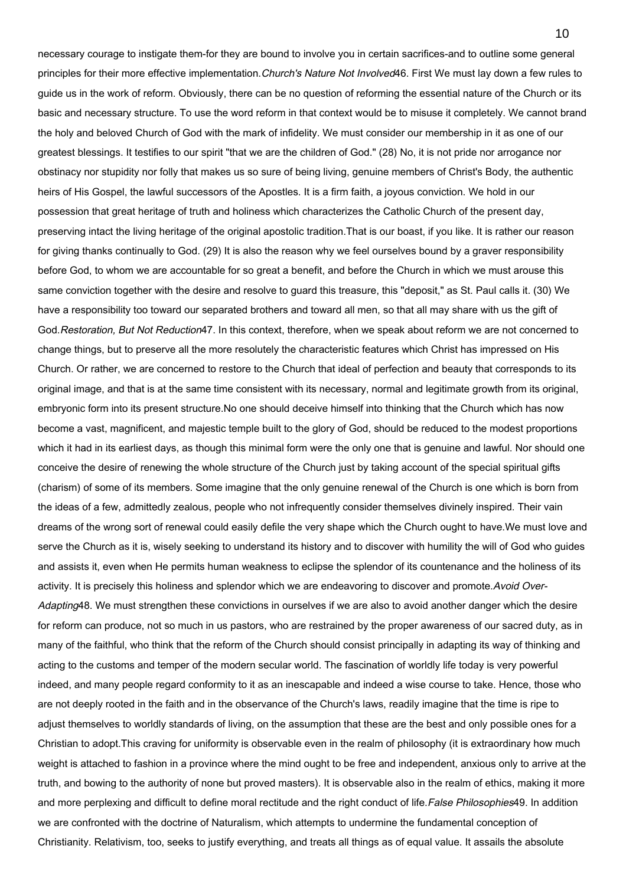necessary courage to instigate them-for they are bound to involve you in certain sacrifices-and to outline some general principles for their more effective implementation. Church's Nature Not Involved46. First We must lay down a few rules to guide us in the work of reform. Obviously, there can be no question of reforming the essential nature of the Church or its basic and necessary structure. To use the word reform in that context would be to misuse it completely. We cannot brand the holy and beloved Church of God with the mark of infidelity. We must consider our membership in it as one of our greatest blessings. It testifies to our spirit "that we are the children of God." (28) No, it is not pride nor arrogance nor obstinacy nor stupidity nor folly that makes us so sure of being living, genuine members of Christ's Body, the authentic heirs of His Gospel, the lawful successors of the Apostles. It is a firm faith, a joyous conviction. We hold in our possession that great heritage of truth and holiness which characterizes the Catholic Church of the present day, preserving intact the living heritage of the original apostolic tradition.That is our boast, if you like. It is rather our reason for giving thanks continually to God. (29) It is also the reason why we feel ourselves bound by a graver responsibility before God, to whom we are accountable for so great a benefit, and before the Church in which we must arouse this same conviction together with the desire and resolve to guard this treasure, this "deposit," as St. Paul calls it. (30) We have a responsibility too toward our separated brothers and toward all men, so that all may share with us the gift of God.Restoration, But Not Reduction47. In this context, therefore, when we speak about reform we are not concerned to change things, but to preserve all the more resolutely the characteristic features which Christ has impressed on His Church. Or rather, we are concerned to restore to the Church that ideal of perfection and beauty that corresponds to its original image, and that is at the same time consistent with its necessary, normal and legitimate growth from its original, embryonic form into its present structure.No one should deceive himself into thinking that the Church which has now become a vast, magnificent, and majestic temple built to the glory of God, should be reduced to the modest proportions which it had in its earliest days, as though this minimal form were the only one that is genuine and lawful. Nor should one conceive the desire of renewing the whole structure of the Church just by taking account of the special spiritual gifts (charism) of some of its members. Some imagine that the only genuine renewal of the Church is one which is born from the ideas of a few, admittedly zealous, people who not infrequently consider themselves divinely inspired. Their vain dreams of the wrong sort of renewal could easily defile the very shape which the Church ought to have.We must love and serve the Church as it is, wisely seeking to understand its history and to discover with humility the will of God who guides and assists it, even when He permits human weakness to eclipse the splendor of its countenance and the holiness of its activity. It is precisely this holiness and splendor which we are endeavoring to discover and promote.Avoid Over-Adapting48. We must strengthen these convictions in ourselves if we are also to avoid another danger which the desire for reform can produce, not so much in us pastors, who are restrained by the proper awareness of our sacred duty, as in many of the faithful, who think that the reform of the Church should consist principally in adapting its way of thinking and acting to the customs and temper of the modern secular world. The fascination of worldly life today is very powerful indeed, and many people regard conformity to it as an inescapable and indeed a wise course to take. Hence, those who are not deeply rooted in the faith and in the observance of the Church's laws, readily imagine that the time is ripe to adjust themselves to worldly standards of living, on the assumption that these are the best and only possible ones for a Christian to adopt.This craving for uniformity is observable even in the realm of philosophy (it is extraordinary how much weight is attached to fashion in a province where the mind ought to be free and independent, anxious only to arrive at the truth, and bowing to the authority of none but proved masters). It is observable also in the realm of ethics, making it more and more perplexing and difficult to define moral rectitude and the right conduct of life. False Philosophies49. In addition we are confronted with the doctrine of Naturalism, which attempts to undermine the fundamental conception of Christianity. Relativism, too, seeks to justify everything, and treats all things as of equal value. It assails the absolute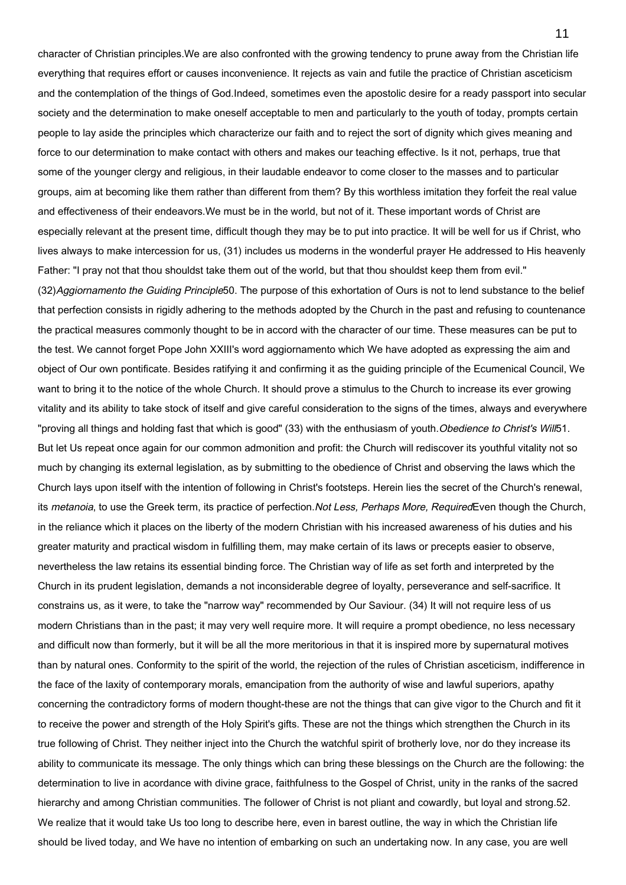character of Christian principles.We are also confronted with the growing tendency to prune away from the Christian life everything that requires effort or causes inconvenience. It rejects as vain and futile the practice of Christian asceticism and the contemplation of the things of God.Indeed, sometimes even the apostolic desire for a ready passport into secular society and the determination to make oneself acceptable to men and particularly to the youth of today, prompts certain people to lay aside the principles which characterize our faith and to reject the sort of dignity which gives meaning and force to our determination to make contact with others and makes our teaching effective. Is it not, perhaps, true that some of the younger clergy and religious, in their laudable endeavor to come closer to the masses and to particular groups, aim at becoming like them rather than different from them? By this worthless imitation they forfeit the real value and effectiveness of their endeavors.We must be in the world, but not of it. These important words of Christ are especially relevant at the present time, difficult though they may be to put into practice. It will be well for us if Christ, who lives always to make intercession for us, (31) includes us moderns in the wonderful prayer He addressed to His heavenly Father: "I pray not that thou shouldst take them out of the world, but that thou shouldst keep them from evil." (32)Aggiornamento the Guiding Principle50. The purpose of this exhortation of Ours is not to lend substance to the belief that perfection consists in rigidly adhering to the methods adopted by the Church in the past and refusing to countenance the practical measures commonly thought to be in accord with the character of our time. These measures can be put to the test. We cannot forget Pope John XXIII's word aggiornamento which We have adopted as expressing the aim and object of Our own pontificate. Besides ratifying it and confirming it as the guiding principle of the Ecumenical Council, We want to bring it to the notice of the whole Church. It should prove a stimulus to the Church to increase its ever growing vitality and its ability to take stock of itself and give careful consideration to the signs of the times, always and everywhere "proving all things and holding fast that which is good" (33) with the enthusiasm of youth. Obedience to Christ's Will51. But let Us repeat once again for our common admonition and profit: the Church will rediscover its youthful vitality not so much by changing its external legislation, as by submitting to the obedience of Christ and observing the laws which the Church lays upon itself with the intention of following in Christ's footsteps. Herein lies the secret of the Church's renewal, its metanoia, to use the Greek term, its practice of perfection. Not Less, Perhaps More, RequiredEven though the Church, in the reliance which it places on the liberty of the modern Christian with his increased awareness of his duties and his greater maturity and practical wisdom in fulfilling them, may make certain of its laws or precepts easier to observe, nevertheless the law retains its essential binding force. The Christian way of life as set forth and interpreted by the Church in its prudent legislation, demands a not inconsiderable degree of loyalty, perseverance and self-sacrifice. It constrains us, as it were, to take the "narrow way" recommended by Our Saviour. (34) It will not require less of us modern Christians than in the past; it may very well require more. It will require a prompt obedience, no less necessary and difficult now than formerly, but it will be all the more meritorious in that it is inspired more by supernatural motives than by natural ones. Conformity to the spirit of the world, the rejection of the rules of Christian asceticism, indifference in the face of the laxity of contemporary morals, emancipation from the authority of wise and lawful superiors, apathy concerning the contradictory forms of modern thought-these are not the things that can give vigor to the Church and fit it to receive the power and strength of the Holy Spirit's gifts. These are not the things which strengthen the Church in its true following of Christ. They neither inject into the Church the watchful spirit of brotherly love, nor do they increase its ability to communicate its message. The only things which can bring these blessings on the Church are the following: the determination to live in acordance with divine grace, faithfulness to the Gospel of Christ, unity in the ranks of the sacred hierarchy and among Christian communities. The follower of Christ is not pliant and cowardly, but loyal and strong.52. We realize that it would take Us too long to describe here, even in barest outline, the way in which the Christian life should be lived today, and We have no intention of embarking on such an undertaking now. In any case, you are well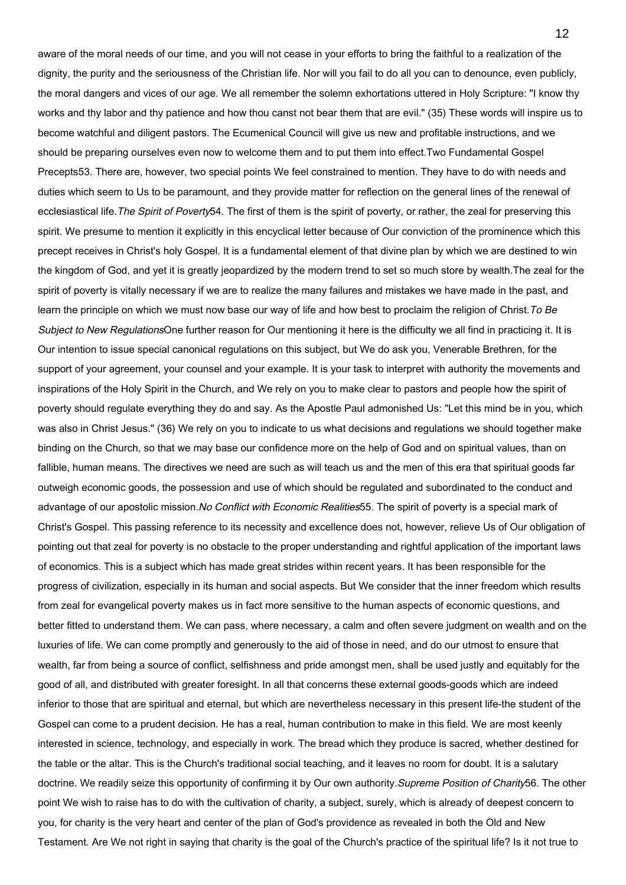aware of the moral needs of our time, and you will not cease in your efforts to bring the faithful to a realization of the dignity, the purity and the seriousness of the Christian life. Nor will you fail to do all you can to denounce, even publicly, the moral dangers and vices of our age. We all remember the solemn exhortations uttered in Holy Scripture: "I know thy works and thy labor and thy patience and how thou canst not bear them that are evil." (35) These words will inspire us to become watchful and diligent pastors. The Ecumenical Council will give us new and profitable instructions, and we should be preparing ourselves even now to welcome them and to put them into effect.Two Fundamental Gospel Precepts53. There are, however, two special points We feel constrained to mention. They have to do with needs and duties which seem to Us to be paramount, and they provide matter for reflection on the general lines of the renewal of ecclesiastical life. The Spirit of Poverty54. The first of them is the spirit of poverty, or rather, the zeal for preserving this spirit. We presume to mention it explicitly in this encyclical letter because of Our conviction of the prominence which this precept receives in Christ's holy Gospel. It is a fundamental element of that divine plan by which we are destined to win the kingdom of God, and yet it is greatly jeopardized by the modern trend to set so much store by wealth.The zeal for the spirit of poverty is vitally necessary if we are to realize the many failures and mistakes we have made in the past, and learn the principle on which we must now base our way of life and how best to proclaim the religion of Christ. To Be Subject to New RegulationsOne further reason for Our mentioning it here is the difficulty we all find in practicing it. It is Our intention to issue special canonical regulations on this subject, but We do ask you, Venerable Brethren, for the support of your agreement, your counsel and your example. It is your task to interpret with authority the movements and inspirations of the Holy Spirit in the Church, and We rely on you to make clear to pastors and people how the spirit of poverty should regulate everything they do and say. As the Apostle Paul admonished Us: "Let this mind be in you, which was also in Christ Jesus." (36) We rely on you to indicate to us what decisions and regulations we should together make binding on the Church, so that we may base our confidence more on the help of God and on spiritual values, than on fallible, human means. The directives we need are such as will teach us and the men of this era that spiritual goods far outweigh economic goods, the possession and use of which should be regulated and subordinated to the conduct and advantage of our apostolic mission. No Conflict with Economic Realities55. The spirit of poverty is a special mark of Christ's Gospel. This passing reference to its necessity and excellence does not, however, relieve Us of Our obligation of pointing out that zeal for poverty is no obstacle to the proper understanding and rightful application of the important laws of economics. This is a subject which has made great strides within recent years. It has been responsible for the progress of civilization, especially in its human and social aspects. But We consider that the inner freedom which results from zeal for evangelical poverty makes us in fact more sensitive to the human aspects of economic questions, and better fitted to understand them. We can pass, where necessary, a calm and often severe judgment on wealth and on the luxuries of life. We can come promptly and generously to the aid of those in need, and do our utmost to ensure that wealth, far from being a source of conflict, selfishness and pride amongst men, shall be used justly and equitably for the good of all, and distributed with greater foresight. In all that concerns these external goods-goods which are indeed inferior to those that are spiritual and eternal, but which are nevertheless necessary in this present life-the student of the Gospel can come to a prudent decision. He has a real, human contribution to make in this field. We are most keenly interested in science, technology, and especially in work. The bread which they produce is sacred, whether destined for the table or the altar. This is the Church's traditional social teaching, and it leaves no room for doubt. It is a salutary doctrine. We readily seize this opportunity of confirming it by Our own authority. Supreme Position of Charity56. The other point We wish to raise has to do with the cultivation of charity, a subject, surely, which is already of deepest concern to you, for charity is the very heart and center of the plan of God's providence as revealed in both the Old and New Testament. Are We not right in saying that charity is the goal of the Church's practice of the spiritual life? Is it not true to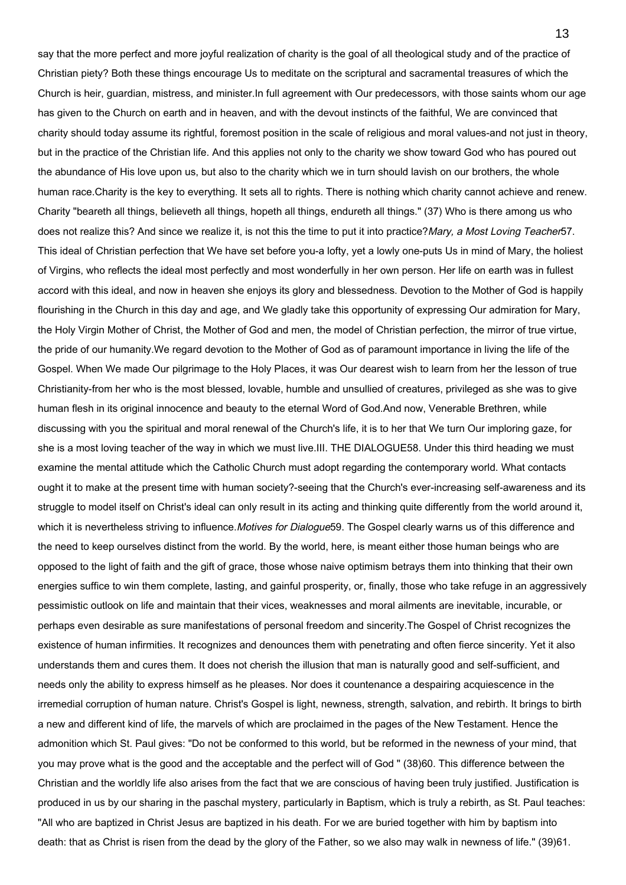say that the more perfect and more joyful realization of charity is the goal of all theological study and of the practice of Christian piety? Both these things encourage Us to meditate on the scriptural and sacramental treasures of which the Church is heir, guardian, mistress, and minister.In full agreement with Our predecessors, with those saints whom our age has given to the Church on earth and in heaven, and with the devout instincts of the faithful, We are convinced that charity should today assume its rightful, foremost position in the scale of religious and moral values-and not just in theory, but in the practice of the Christian life. And this applies not only to the charity we show toward God who has poured out the abundance of His love upon us, but also to the charity which we in turn should lavish on our brothers, the whole human race.Charity is the key to everything. It sets all to rights. There is nothing which charity cannot achieve and renew. Charity "beareth all things, believeth all things, hopeth all things, endureth all things." (37) Who is there among us who does not realize this? And since we realize it, is not this the time to put it into practice? Mary, a Most Loving Teacher57. This ideal of Christian perfection that We have set before you-a lofty, yet a lowly one-puts Us in mind of Mary, the holiest of Virgins, who reflects the ideal most perfectly and most wonderfully in her own person. Her life on earth was in fullest accord with this ideal, and now in heaven she enjoys its glory and blessedness. Devotion to the Mother of God is happily flourishing in the Church in this day and age, and We gladly take this opportunity of expressing Our admiration for Mary, the Holy Virgin Mother of Christ, the Mother of God and men, the model of Christian perfection, the mirror of true virtue, the pride of our humanity.We regard devotion to the Mother of God as of paramount importance in living the life of the Gospel. When We made Our pilgrimage to the Holy Places, it was Our dearest wish to learn from her the lesson of true Christianity-from her who is the most blessed, lovable, humble and unsullied of creatures, privileged as she was to give human flesh in its original innocence and beauty to the eternal Word of God.And now, Venerable Brethren, while discussing with you the spiritual and moral renewal of the Church's life, it is to her that We turn Our imploring gaze, for she is a most loving teacher of the way in which we must live.III. THE DIALOGUE58. Under this third heading we must examine the mental attitude which the Catholic Church must adopt regarding the contemporary world. What contacts ought it to make at the present time with human society?-seeing that the Church's ever-increasing self-awareness and its struggle to model itself on Christ's ideal can only result in its acting and thinking quite differently from the world around it, which it is nevertheless striving to influence. Motives for Dialogue59. The Gospel clearly warns us of this difference and the need to keep ourselves distinct from the world. By the world, here, is meant either those human beings who are opposed to the light of faith and the gift of grace, those whose naive optimism betrays them into thinking that their own energies suffice to win them complete, lasting, and gainful prosperity, or, finally, those who take refuge in an aggressively pessimistic outlook on life and maintain that their vices, weaknesses and moral ailments are inevitable, incurable, or perhaps even desirable as sure manifestations of personal freedom and sincerity.The Gospel of Christ recognizes the existence of human infirmities. It recognizes and denounces them with penetrating and often fierce sincerity. Yet it also understands them and cures them. It does not cherish the illusion that man is naturally good and self-sufficient, and needs only the ability to express himself as he pleases. Nor does it countenance a despairing acquiescence in the irremedial corruption of human nature. Christ's Gospel is light, newness, strength, salvation, and rebirth. It brings to birth a new and different kind of life, the marvels of which are proclaimed in the pages of the New Testament. Hence the admonition which St. Paul gives: "Do not be conformed to this world, but be reformed in the newness of your mind, that you may prove what is the good and the acceptable and the perfect will of God " (38)60. This difference between the Christian and the worldly life also arises from the fact that we are conscious of having been truly justified. Justification is produced in us by our sharing in the paschal mystery, particularly in Baptism, which is truly a rebirth, as St. Paul teaches: "All who are baptized in Christ Jesus are baptized in his death. For we are buried together with him by baptism into death: that as Christ is risen from the dead by the glory of the Father, so we also may walk in newness of life." (39)61.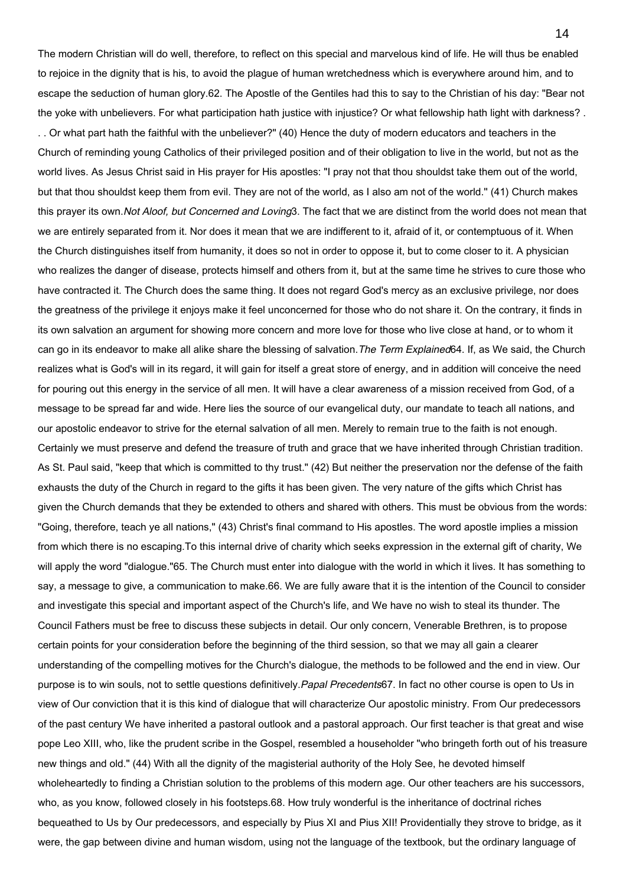The modern Christian will do well, therefore, to reflect on this special and marvelous kind of life. He will thus be enabled to rejoice in the dignity that is his, to avoid the plague of human wretchedness which is everywhere around him, and to escape the seduction of human glory.62. The Apostle of the Gentiles had this to say to the Christian of his day: "Bear not the yoke with unbelievers. For what participation hath justice with injustice? Or what fellowship hath light with darkness? . . . Or what part hath the faithful with the unbeliever?" (40) Hence the duty of modern educators and teachers in the Church of reminding young Catholics of their privileged position and of their obligation to live in the world, but not as the world lives. As Jesus Christ said in His prayer for His apostles: "I pray not that thou shouldst take them out of the world, but that thou shouldst keep them from evil. They are not of the world, as I also am not of the world.'' (41) Church makes this prayer its own. Not Aloof, but Concerned and Loving3. The fact that we are distinct from the world does not mean that we are entirely separated from it. Nor does it mean that we are indifferent to it, afraid of it, or contemptuous of it. When the Church distinguishes itself from humanity, it does so not in order to oppose it, but to come closer to it. A physician who realizes the danger of disease, protects himself and others from it, but at the same time he strives to cure those who have contracted it. The Church does the same thing. It does not regard God's mercy as an exclusive privilege, nor does the greatness of the privilege it enjoys make it feel unconcerned for those who do not share it. On the contrary, it finds in its own salvation an argument for showing more concern and more love for those who live close at hand, or to whom it can go in its endeavor to make all alike share the blessing of salvation. The Term Explained64. If, as We said, the Church realizes what is God's will in its regard, it will gain for itself a great store of energy, and in addition will conceive the need for pouring out this energy in the service of all men. It will have a clear awareness of a mission received from God, of a message to be spread far and wide. Here lies the source of our evangelical duty, our mandate to teach all nations, and our apostolic endeavor to strive for the eternal salvation of all men. Merely to remain true to the faith is not enough. Certainly we must preserve and defend the treasure of truth and grace that we have inherited through Christian tradition. As St. Paul said, "keep that which is committed to thy trust." (42) But neither the preservation nor the defense of the faith exhausts the duty of the Church in regard to the gifts it has been given. The very nature of the gifts which Christ has given the Church demands that they be extended to others and shared with others. This must be obvious from the words: "Going, therefore, teach ye all nations," (43) Christ's final command to His apostles. The word apostle implies a mission from which there is no escaping.To this internal drive of charity which seeks expression in the external gift of charity, We will apply the word "dialogue."65. The Church must enter into dialogue with the world in which it lives. It has something to say, a message to give, a communication to make.66. We are fully aware that it is the intention of the Council to consider and investigate this special and important aspect of the Church's life, and We have no wish to steal its thunder. The Council Fathers must be free to discuss these subjects in detail. Our only concern, Venerable Brethren, is to propose certain points for your consideration before the beginning of the third session, so that we may all gain a clearer understanding of the compelling motives for the Church's dialogue, the methods to be followed and the end in view. Our purpose is to win souls, not to settle questions definitively. Papal Precedents67. In fact no other course is open to Us in view of Our conviction that it is this kind of dialogue that will characterize Our apostolic ministry. From Our predecessors of the past century We have inherited a pastoral outlook and a pastoral approach. Our first teacher is that great and wise pope Leo XIII, who, like the prudent scribe in the Gospel, resembled a householder "who bringeth forth out of his treasure new things and old." (44) With all the dignity of the magisterial authority of the Holy See, he devoted himself wholeheartedly to finding a Christian solution to the problems of this modern age. Our other teachers are his successors, who, as you know, followed closely in his footsteps.68. How truly wonderful is the inheritance of doctrinal riches bequeathed to Us by Our predecessors, and especially by Pius XI and Pius XII! Providentially they strove to bridge, as it were, the gap between divine and human wisdom, using not the language of the textbook, but the ordinary language of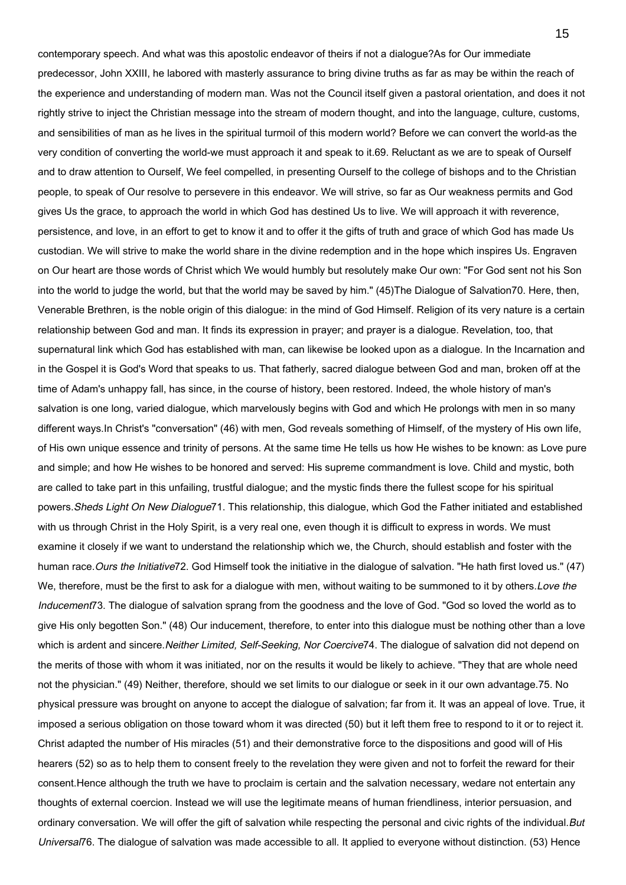contemporary speech. And what was this apostolic endeavor of theirs if not a dialogue?As for Our immediate predecessor, John XXIII, he labored with masterly assurance to bring divine truths as far as may be within the reach of the experience and understanding of modern man. Was not the Council itself given a pastoral orientation, and does it not rightly strive to inject the Christian message into the stream of modern thought, and into the language, culture, customs, and sensibilities of man as he lives in the spiritual turmoil of this modern world? Before we can convert the world-as the very condition of converting the world-we must approach it and speak to it.69. Reluctant as we are to speak of Ourself and to draw attention to Ourself, We feel compelled, in presenting Ourself to the college of bishops and to the Christian people, to speak of Our resolve to persevere in this endeavor. We will strive, so far as Our weakness permits and God gives Us the grace, to approach the world in which God has destined Us to live. We will approach it with reverence, persistence, and love, in an effort to get to know it and to offer it the gifts of truth and grace of which God has made Us custodian. We will strive to make the world share in the divine redemption and in the hope which inspires Us. Engraven on Our heart are those words of Christ which We would humbly but resolutely make Our own: "For God sent not his Son into the world to judge the world, but that the world may be saved by him." (45)The Dialogue of Salvation70. Here, then, Venerable Brethren, is the noble origin of this dialogue: in the mind of God Himself. Religion of its very nature is a certain relationship between God and man. It finds its expression in prayer; and prayer is a dialogue. Revelation, too, that supernatural link which God has established with man, can likewise be looked upon as a dialogue. In the Incarnation and in the Gospel it is God's Word that speaks to us. That fatherly, sacred dialogue between God and man, broken off at the time of Adam's unhappy fall, has since, in the course of history, been restored. Indeed, the whole history of man's salvation is one long, varied dialogue, which marvelously begins with God and which He prolongs with men in so many different ways.In Christ's "conversation" (46) with men, God reveals something of Himself, of the mystery of His own life, of His own unique essence and trinity of persons. At the same time He tells us how He wishes to be known: as Love pure and simple; and how He wishes to be honored and served: His supreme commandment is love. Child and mystic, both are called to take part in this unfailing, trustful dialogue; and the mystic finds there the fullest scope for his spiritual powers.Sheds Light On New Dialogue71. This relationship, this dialogue, which God the Father initiated and established with us through Christ in the Holy Spirit, is a very real one, even though it is difficult to express in words. We must examine it closely if we want to understand the relationship which we, the Church, should establish and foster with the human race. Ours the Initiative72. God Himself took the initiative in the dialogue of salvation. "He hath first loved us." (47) We, therefore, must be the first to ask for a dialogue with men, without waiting to be summoned to it by others. Love the Inducement73. The dialogue of salvation sprang from the goodness and the love of God. "God so loved the world as to give His only begotten Son." (48) Our inducement, therefore, to enter into this dialogue must be nothing other than a love which is ardent and sincere. Neither Limited, Self-Seeking, Nor Coercive74. The dialogue of salvation did not depend on the merits of those with whom it was initiated, nor on the results it would be likely to achieve. "They that are whole need not the physician." (49) Neither, therefore, should we set limits to our dialogue or seek in it our own advantage.75. No physical pressure was brought on anyone to accept the dialogue of salvation; far from it. It was an appeal of love. True, it imposed a serious obligation on those toward whom it was directed (50) but it left them free to respond to it or to reject it. Christ adapted the number of His miracles (51) and their demonstrative force to the dispositions and good will of His hearers (52) so as to help them to consent freely to the revelation they were given and not to forfeit the reward for their consent.Hence although the truth we have to proclaim is certain and the salvation necessary, wedare not entertain any thoughts of external coercion. Instead we will use the legitimate means of human friendliness, interior persuasion, and ordinary conversation. We will offer the gift of salvation while respecting the personal and civic rights of the individual.But Universal76. The dialogue of salvation was made accessible to all. It applied to everyone without distinction. (53) Hence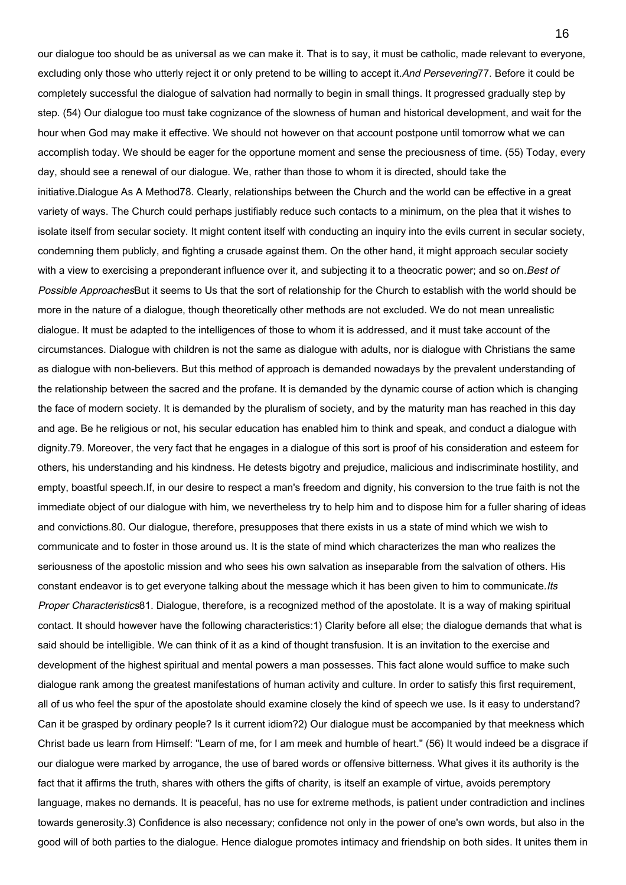our dialogue too should be as universal as we can make it. That is to say, it must be catholic, made relevant to everyone, excluding only those who utterly reject it or only pretend to be willing to accept it.And Persevering77. Before it could be completely successful the dialogue of salvation had normally to begin in small things. It progressed gradually step by step. (54) Our dialogue too must take cognizance of the slowness of human and historical development, and wait for the hour when God may make it effective. We should not however on that account postpone until tomorrow what we can accomplish today. We should be eager for the opportune moment and sense the preciousness of time. (55) Today, every day, should see a renewal of our dialogue. We, rather than those to whom it is directed, should take the initiative.Dialogue As A Method78. Clearly, relationships between the Church and the world can be effective in a great variety of ways. The Church could perhaps justifiably reduce such contacts to a minimum, on the plea that it wishes to isolate itself from secular society. It might content itself with conducting an inquiry into the evils current in secular society, condemning them publicly, and fighting a crusade against them. On the other hand, it might approach secular society with a view to exercising a preponderant influence over it, and subjecting it to a theocratic power; and so on. Best of Possible ApproachesBut it seems to Us that the sort of relationship for the Church to establish with the world should be more in the nature of a dialogue, though theoretically other methods are not excluded. We do not mean unrealistic dialogue. It must be adapted to the intelligences of those to whom it is addressed, and it must take account of the circumstances. Dialogue with children is not the same as dialogue with adults, nor is dialogue with Christians the same as dialogue with non-believers. But this method of approach is demanded nowadays by the prevalent understanding of the relationship between the sacred and the profane. It is demanded by the dynamic course of action which is changing the face of modern society. It is demanded by the pluralism of society, and by the maturity man has reached in this day and age. Be he religious or not, his secular education has enabled him to think and speak, and conduct a dialogue with dignity.79. Moreover, the very fact that he engages in a dialogue of this sort is proof of his consideration and esteem for others, his understanding and his kindness. He detests bigotry and prejudice, malicious and indiscriminate hostility, and empty, boastful speech.If, in our desire to respect a man's freedom and dignity, his conversion to the true faith is not the immediate object of our dialogue with him, we nevertheless try to help him and to dispose him for a fuller sharing of ideas and convictions.80. Our dialogue, therefore, presupposes that there exists in us a state of mind which we wish to communicate and to foster in those around us. It is the state of mind which characterizes the man who realizes the seriousness of the apostolic mission and who sees his own salvation as inseparable from the salvation of others. His constant endeavor is to get everyone talking about the message which it has been given to him to communicate.Its Proper Characteristics81. Dialogue, therefore, is a recognized method of the apostolate. It is a way of making spiritual contact. It should however have the following characteristics:1) Clarity before all else; the dialogue demands that what is said should be intelligible. We can think of it as a kind of thought transfusion. It is an invitation to the exercise and development of the highest spiritual and mental powers a man possesses. This fact alone would suffice to make such dialogue rank among the greatest manifestations of human activity and culture. In order to satisfy this first requirement, all of us who feel the spur of the apostolate should examine closely the kind of speech we use. Is it easy to understand? Can it be grasped by ordinary people? Is it current idiom?2) Our dialogue must be accompanied by that meekness which Christ bade us learn from Himself: "Learn of me, for I am meek and humble of heart." (56) It would indeed be a disgrace if our dialogue were marked by arrogance, the use of bared words or offensive bitterness. What gives it its authority is the fact that it affirms the truth, shares with others the gifts of charity, is itself an example of virtue, avoids peremptory language, makes no demands. It is peaceful, has no use for extreme methods, is patient under contradiction and inclines towards generosity.3) Confidence is also necessary; confidence not only in the power of one's own words, but also in the good will of both parties to the dialogue. Hence dialogue promotes intimacy and friendship on both sides. It unites them in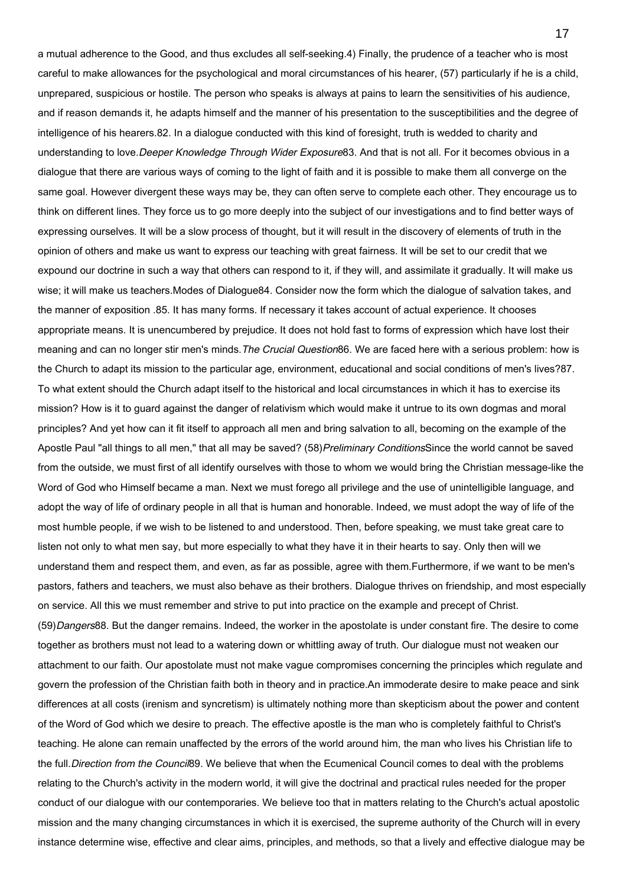a mutual adherence to the Good, and thus excludes all self-seeking.4) Finally, the prudence of a teacher who is most careful to make allowances for the psychological and moral circumstances of his hearer, (57) particularly if he is a child, unprepared, suspicious or hostile. The person who speaks is always at pains to learn the sensitivities of his audience, and if reason demands it, he adapts himself and the manner of his presentation to the susceptibilities and the degree of intelligence of his hearers.82. In a dialogue conducted with this kind of foresight, truth is wedded to charity and understanding to love. Deeper Knowledge Through Wider Exposure83. And that is not all. For it becomes obvious in a dialogue that there are various ways of coming to the light of faith and it is possible to make them all converge on the same goal. However divergent these ways may be, they can often serve to complete each other. They encourage us to think on different lines. They force us to go more deeply into the subject of our investigations and to find better ways of expressing ourselves. It will be a slow process of thought, but it will result in the discovery of elements of truth in the opinion of others and make us want to express our teaching with great fairness. It will be set to our credit that we expound our doctrine in such a way that others can respond to it, if they will, and assimilate it gradually. It will make us wise; it will make us teachers.Modes of Dialogue84. Consider now the form which the dialogue of salvation takes, and the manner of exposition .85. It has many forms. If necessary it takes account of actual experience. It chooses appropriate means. It is unencumbered by prejudice. It does not hold fast to forms of expression which have lost their meaning and can no longer stir men's minds. The Crucial Question86. We are faced here with a serious problem: how is the Church to adapt its mission to the particular age, environment, educational and social conditions of men's lives?87. To what extent should the Church adapt itself to the historical and local circumstances in which it has to exercise its mission? How is it to guard against the danger of relativism which would make it untrue to its own dogmas and moral principles? And yet how can it fit itself to approach all men and bring salvation to all, becoming on the example of the Apostle Paul "all things to all men," that all may be saved? (58) Preliminary ConditionsSince the world cannot be saved from the outside, we must first of all identify ourselves with those to whom we would bring the Christian message-like the Word of God who Himself became a man. Next we must forego all privilege and the use of unintelligible language, and adopt the way of life of ordinary people in all that is human and honorable. Indeed, we must adopt the way of life of the most humble people, if we wish to be listened to and understood. Then, before speaking, we must take great care to listen not only to what men say, but more especially to what they have it in their hearts to say. Only then will we understand them and respect them, and even, as far as possible, agree with them.Furthermore, if we want to be men's pastors, fathers and teachers, we must also behave as their brothers. Dialogue thrives on friendship, and most especially on service. All this we must remember and strive to put into practice on the example and precept of Christ. (59)Dangers88. But the danger remains. Indeed, the worker in the apostolate is under constant fire. The desire to come together as brothers must not lead to a watering down or whittling away of truth. Our dialogue must not weaken our attachment to our faith. Our apostolate must not make vague compromises concerning the principles which regulate and govern the profession of the Christian faith both in theory and in practice.An immoderate desire to make peace and sink differences at all costs (irenism and syncretism) is ultimately nothing more than skepticism about the power and content of the Word of God which we desire to preach. The effective apostle is the man who is completely faithful to Christ's teaching. He alone can remain unaffected by the errors of the world around him, the man who lives his Christian life to the full. Direction from the Council89. We believe that when the Ecumenical Council comes to deal with the problems relating to the Church's activity in the modern world, it will give the doctrinal and practical rules needed for the proper conduct of our dialogue with our contemporaries. We believe too that in matters relating to the Church's actual apostolic mission and the many changing circumstances in which it is exercised, the supreme authority of the Church will in every instance determine wise, effective and clear aims, principles, and methods, so that a lively and effective dialogue may be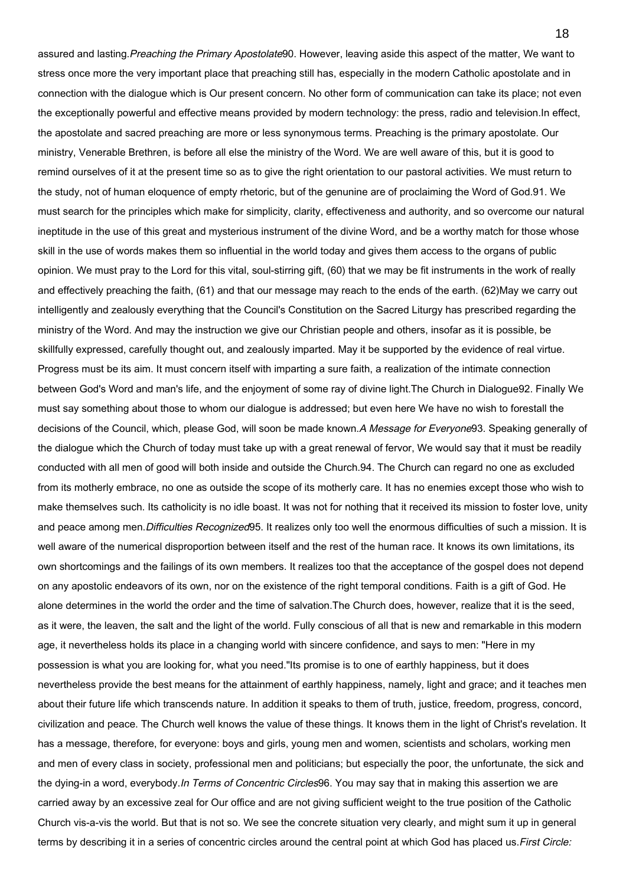assured and lasting. Preaching the Primary Apostolate90. However, leaving aside this aspect of the matter, We want to stress once more the very important place that preaching still has, especially in the modern Catholic apostolate and in connection with the dialogue which is Our present concern. No other form of communication can take its place; not even the exceptionally powerful and effective means provided by modern technology: the press, radio and television.In effect, the apostolate and sacred preaching are more or less synonymous terms. Preaching is the primary apostolate. Our ministry, Venerable Brethren, is before all else the ministry of the Word. We are well aware of this, but it is good to remind ourselves of it at the present time so as to give the right orientation to our pastoral activities. We must return to the study, not of human eloquence of empty rhetoric, but of the genunine are of proclaiming the Word of God.91. We must search for the principles which make for simplicity, clarity, effectiveness and authority, and so overcome our natural ineptitude in the use of this great and mysterious instrument of the divine Word, and be a worthy match for those whose skill in the use of words makes them so influential in the world today and gives them access to the organs of public opinion. We must pray to the Lord for this vital, soul-stirring gift, (60) that we may be fit instruments in the work of really and effectively preaching the faith, (61) and that our message may reach to the ends of the earth. (62)May we carry out intelligently and zealously everything that the Council's Constitution on the Sacred Liturgy has prescribed regarding the ministry of the Word. And may the instruction we give our Christian people and others, insofar as it is possible, be skillfully expressed, carefully thought out, and zealously imparted. May it be supported by the evidence of real virtue. Progress must be its aim. It must concern itself with imparting a sure faith, a realization of the intimate connection between God's Word and man's life, and the enjoyment of some ray of divine light.The Church in Dialogue92. Finally We must say something about those to whom our dialogue is addressed; but even here We have no wish to forestall the decisions of the Council, which, please God, will soon be made known.A Message for Everyone93. Speaking generally of the dialogue which the Church of today must take up with a great renewal of fervor, We would say that it must be readily conducted with all men of good will both inside and outside the Church.94. The Church can regard no one as excluded from its motherly embrace, no one as outside the scope of its motherly care. It has no enemies except those who wish to make themselves such. Its catholicity is no idle boast. It was not for nothing that it received its mission to foster love, unity and peace among men. Difficulties Recognized95. It realizes only too well the enormous difficulties of such a mission. It is well aware of the numerical disproportion between itself and the rest of the human race. It knows its own limitations, its own shortcomings and the failings of its own members. It realizes too that the acceptance of the gospel does not depend on any apostolic endeavors of its own, nor on the existence of the right temporal conditions. Faith is a gift of God. He alone determines in the world the order and the time of salvation.The Church does, however, realize that it is the seed, as it were, the leaven, the salt and the light of the world. Fully conscious of all that is new and remarkable in this modern age, it nevertheless holds its place in a changing world with sincere confidence, and says to men: "Here in my possession is what you are looking for, what you need."Its promise is to one of earthly happiness, but it does nevertheless provide the best means for the attainment of earthly happiness, namely, light and grace; and it teaches men about their future life which transcends nature. In addition it speaks to them of truth, justice, freedom, progress, concord, civilization and peace. The Church well knows the value of these things. It knows them in the light of Christ's revelation. It has a message, therefore, for everyone: boys and girls, young men and women, scientists and scholars, working men and men of every class in society, professional men and politicians; but especially the poor, the unfortunate, the sick and the dying-in a word, everybody.In Terms of Concentric Circles96. You may say that in making this assertion we are carried away by an excessive zeal for Our office and are not giving sufficient weight to the true position of the Catholic Church vis-a-vis the world. But that is not so. We see the concrete situation very clearly, and might sum it up in general terms by describing it in a series of concentric circles around the central point at which God has placed us. First Circle: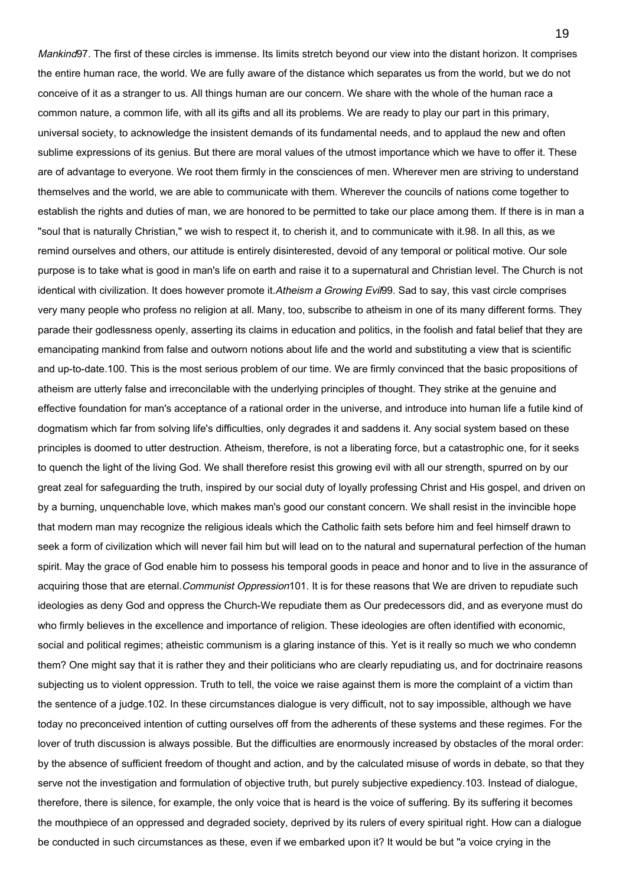Mankind97. The first of these circles is immense. Its limits stretch beyond our view into the distant horizon. It comprises the entire human race, the world. We are fully aware of the distance which separates us from the world, but we do not conceive of it as a stranger to us. All things human are our concern. We share with the whole of the human race a common nature, a common life, with all its gifts and all its problems. We are ready to play our part in this primary, universal society, to acknowledge the insistent demands of its fundamental needs, and to applaud the new and often sublime expressions of its genius. But there are moral values of the utmost importance which we have to offer it. These are of advantage to everyone. We root them firmly in the consciences of men. Wherever men are striving to understand themselves and the world, we are able to communicate with them. Wherever the councils of nations come together to establish the rights and duties of man, we are honored to be permitted to take our place among them. If there is in man a "soul that is naturally Christian," we wish to respect it, to cherish it, and to communicate with it.98. In all this, as we remind ourselves and others, our attitude is entirely disinterested, devoid of any temporal or political motive. Our sole purpose is to take what is good in man's life on earth and raise it to a supernatural and Christian level. The Church is not identical with civilization. It does however promote it. Atheism a Growing Evil99. Sad to say, this vast circle comprises very many people who profess no religion at all. Many, too, subscribe to atheism in one of its many different forms. They parade their godlessness openly, asserting its claims in education and politics, in the foolish and fatal belief that they are emancipating mankind from false and outworn notions about life and the world and substituting a view that is scientific and up-to-date.100. This is the most serious problem of our time. We are firmly convinced that the basic propositions of atheism are utterly false and irreconcilable with the underlying principles of thought. They strike at the genuine and effective foundation for man's acceptance of a rational order in the universe, and introduce into human life a futile kind of dogmatism which far from solving life's difficulties, only degrades it and saddens it. Any social system based on these principles is doomed to utter destruction. Atheism, therefore, is not a liberating force, but a catastrophic one, for it seeks to quench the light of the living God. We shall therefore resist this growing evil with all our strength, spurred on by our great zeal for safeguarding the truth, inspired by our social duty of loyally professing Christ and His gospel, and driven on by a burning, unquenchable love, which makes man's good our constant concern. We shall resist in the invincible hope that modern man may recognize the religious ideals which the Catholic faith sets before him and feel himself drawn to seek a form of civilization which will never fail him but will lead on to the natural and supernatural perfection of the human spirit. May the grace of God enable him to possess his temporal goods in peace and honor and to live in the assurance of acquiring those that are eternal. Communist Oppression101. It is for these reasons that We are driven to repudiate such ideologies as deny God and oppress the Church-We repudiate them as Our predecessors did, and as everyone must do who firmly believes in the excellence and importance of religion. These ideologies are often identified with economic, social and political regimes; atheistic communism is a glaring instance of this. Yet is it really so much we who condemn them? One might say that it is rather they and their politicians who are clearly repudiating us, and for doctrinaire reasons subjecting us to violent oppression. Truth to tell, the voice we raise against them is more the complaint of a victim than the sentence of a judge.102. In these circumstances dialogue is very difficult, not to say impossible, although we have today no preconceived intention of cutting ourselves off from the adherents of these systems and these regimes. For the lover of truth discussion is always possible. But the difficulties are enormously increased by obstacles of the moral order: by the absence of sufficient freedom of thought and action, and by the calculated misuse of words in debate, so that they serve not the investigation and formulation of objective truth, but purely subjective expediency.103. Instead of dialogue, therefore, there is silence, for example, the only voice that is heard is the voice of suffering. By its suffering it becomes the mouthpiece of an oppressed and degraded society, deprived by its rulers of every spiritual right. How can a dialogue be conducted in such circumstances as these, even if we embarked upon it? It would be but "a voice crying in the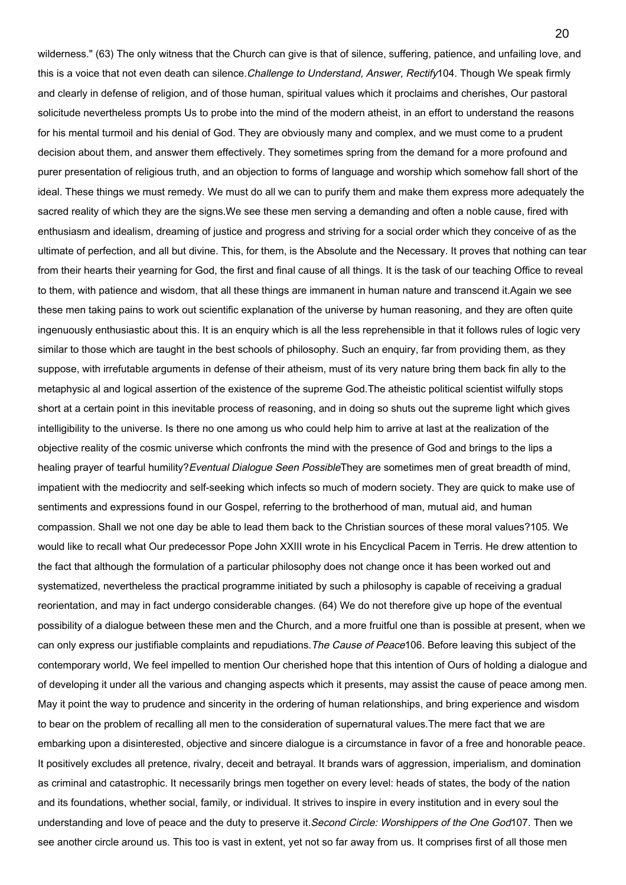wilderness." (63) The only witness that the Church can give is that of silence, suffering, patience, and unfailing love, and this is a voice that not even death can silence. Challenge to Understand, Answer, Rectify104. Though We speak firmly and clearly in defense of religion, and of those human, spiritual values which it proclaims and cherishes, Our pastoral solicitude nevertheless prompts Us to probe into the mind of the modern atheist, in an effort to understand the reasons for his mental turmoil and his denial of God. They are obviously many and complex, and we must come to a prudent decision about them, and answer them effectively. They sometimes spring from the demand for a more profound and purer presentation of religious truth, and an objection to forms of language and worship which somehow fall short of the ideal. These things we must remedy. We must do all we can to purify them and make them express more adequately the sacred reality of which they are the signs.We see these men serving a demanding and often a noble cause, fired with enthusiasm and idealism, dreaming of justice and progress and striving for a social order which they conceive of as the ultimate of perfection, and all but divine. This, for them, is the Absolute and the Necessary. It proves that nothing can tear from their hearts their yearning for God, the first and final cause of all things. It is the task of our teaching Office to reveal to them, with patience and wisdom, that all these things are immanent in human nature and transcend it.Again we see these men taking pains to work out scientific explanation of the universe by human reasoning, and they are often quite ingenuously enthusiastic about this. It is an enquiry which is all the less reprehensible in that it follows rules of logic very similar to those which are taught in the best schools of philosophy. Such an enquiry, far from providing them, as they suppose, with irrefutable arguments in defense of their atheism, must of its very nature bring them back fin ally to the metaphysic al and logical assertion of the existence of the supreme God.The atheistic political scientist wilfully stops short at a certain point in this inevitable process of reasoning, and in doing so shuts out the supreme light which gives intelligibility to the universe. Is there no one among us who could help him to arrive at last at the realization of the objective reality of the cosmic universe which confronts the mind with the presence of God and brings to the lips a healing prayer of tearful humility? Eventual Dialogue Seen PossibleThey are sometimes men of great breadth of mind, impatient with the mediocrity and self-seeking which infects so much of modern society. They are quick to make use of sentiments and expressions found in our Gospel, referring to the brotherhood of man, mutual aid, and human compassion. Shall we not one day be able to lead them back to the Christian sources of these moral values?105. We would like to recall what Our predecessor Pope John XXIII wrote in his Encyclical Pacem in Terris. He drew attention to the fact that although the formulation of a particular philosophy does not change once it has been worked out and systematized, nevertheless the practical programme initiated by such a philosophy is capable of receiving a gradual reorientation, and may in fact undergo considerable changes. (64) We do not therefore give up hope of the eventual possibility of a dialogue between these men and the Church, and a more fruitful one than is possible at present, when we can only express our justifiable complaints and repudiations. The Cause of Peace106. Before leaving this subject of the contemporary world, We feel impelled to mention Our cherished hope that this intention of Ours of holding a dialogue and of developing it under all the various and changing aspects which it presents, may assist the cause of peace among men. May it point the way to prudence and sincerity in the ordering of human relationships, and bring experience and wisdom to bear on the problem of recalling all men to the consideration of supernatural values.The mere fact that we are embarking upon a disinterested, objective and sincere dialogue is a circumstance in favor of a free and honorable peace. It positively excludes all pretence, rivalry, deceit and betrayal. It brands wars of aggression, imperialism, and domination as criminal and catastrophic. It necessarily brings men together on every level: heads of states, the body of the nation and its foundations, whether social, family, or individual. It strives to inspire in every institution and in every soul the understanding and love of peace and the duty to preserve it. Second Circle: Worshippers of the One God107. Then we see another circle around us. This too is vast in extent, yet not so far away from us. It comprises first of all those men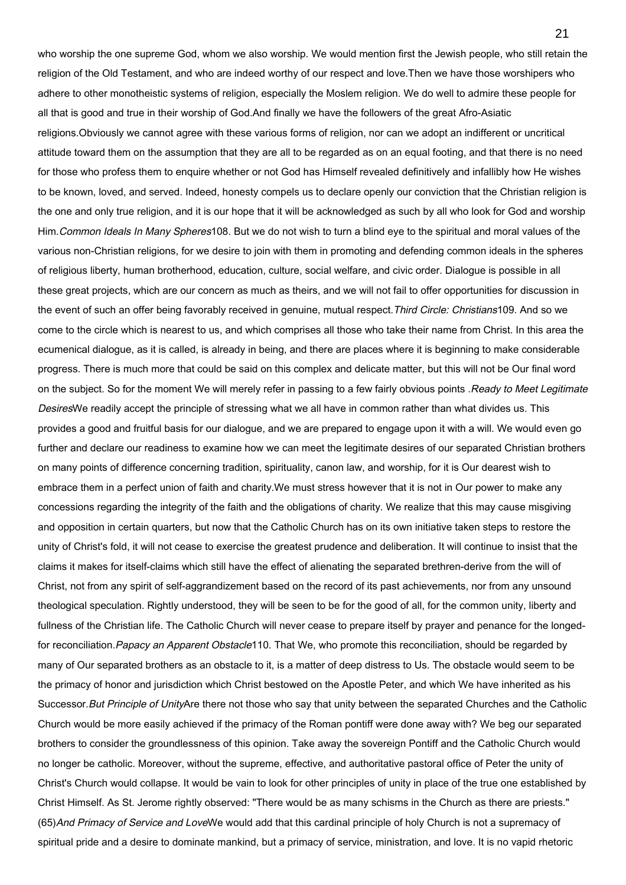who worship the one supreme God, whom we also worship. We would mention first the Jewish people, who still retain the religion of the Old Testament, and who are indeed worthy of our respect and love.Then we have those worshipers who adhere to other monotheistic systems of religion, especially the Moslem religion. We do well to admire these people for all that is good and true in their worship of God.And finally we have the followers of the great Afro-Asiatic religions.Obviously we cannot agree with these various forms of religion, nor can we adopt an indifferent or uncritical attitude toward them on the assumption that they are all to be regarded as on an equal footing, and that there is no need for those who profess them to enquire whether or not God has Himself revealed definitively and infallibly how He wishes to be known, loved, and served. Indeed, honesty compels us to declare openly our conviction that the Christian religion is the one and only true religion, and it is our hope that it will be acknowledged as such by all who look for God and worship Him. Common Ideals In Many Spheres108. But we do not wish to turn a blind eye to the spiritual and moral values of the various non-Christian religions, for we desire to join with them in promoting and defending common ideals in the spheres of religious liberty, human brotherhood, education, culture, social welfare, and civic order. Dialogue is possible in all these great projects, which are our concern as much as theirs, and we will not fail to offer opportunities for discussion in the event of such an offer being favorably received in genuine, mutual respect.Third Circle: Christians109. And so we come to the circle which is nearest to us, and which comprises all those who take their name from Christ. In this area the ecumenical dialogue, as it is called, is already in being, and there are places where it is beginning to make considerable progress. There is much more that could be said on this complex and delicate matter, but this will not be Our final word on the subject. So for the moment We will merely refer in passing to a few fairly obvious points . Ready to Meet Legitimate DesiresWe readily accept the principle of stressing what we all have in common rather than what divides us. This provides a good and fruitful basis for our dialogue, and we are prepared to engage upon it with a will. We would even go further and declare our readiness to examine how we can meet the legitimate desires of our separated Christian brothers on many points of difference concerning tradition, spirituality, canon law, and worship, for it is Our dearest wish to embrace them in a perfect union of faith and charity.We must stress however that it is not in Our power to make any concessions regarding the integrity of the faith and the obligations of charity. We realize that this may cause misgiving and opposition in certain quarters, but now that the Catholic Church has on its own initiative taken steps to restore the unity of Christ's fold, it will not cease to exercise the greatest prudence and deliberation. It will continue to insist that the claims it makes for itself-claims which still have the effect of alienating the separated brethren-derive from the will of Christ, not from any spirit of self-aggrandizement based on the record of its past achievements, nor from any unsound theological speculation. Rightly understood, they will be seen to be for the good of all, for the common unity, liberty and fullness of the Christian life. The Catholic Church will never cease to prepare itself by prayer and penance for the longedfor reconciliation. Papacy an Apparent Obstacle110. That We, who promote this reconciliation, should be regarded by many of Our separated brothers as an obstacle to it, is a matter of deep distress to Us. The obstacle would seem to be the primacy of honor and jurisdiction which Christ bestowed on the Apostle Peter, and which We have inherited as his Successor. But Principle of UnityAre there not those who say that unity between the separated Churches and the Catholic Church would be more easily achieved if the primacy of the Roman pontiff were done away with? We beg our separated brothers to consider the groundlessness of this opinion. Take away the sovereign Pontiff and the Catholic Church would no longer be catholic. Moreover, without the supreme, effective, and authoritative pastoral office of Peter the unity of Christ's Church would collapse. It would be vain to look for other principles of unity in place of the true one established by Christ Himself. As St. Jerome rightly observed: "There would be as many schisms in the Church as there are priests." (65) And Primacy of Service and LoveWe would add that this cardinal principle of holy Church is not a supremacy of spiritual pride and a desire to dominate mankind, but a primacy of service, ministration, and love. It is no vapid rhetoric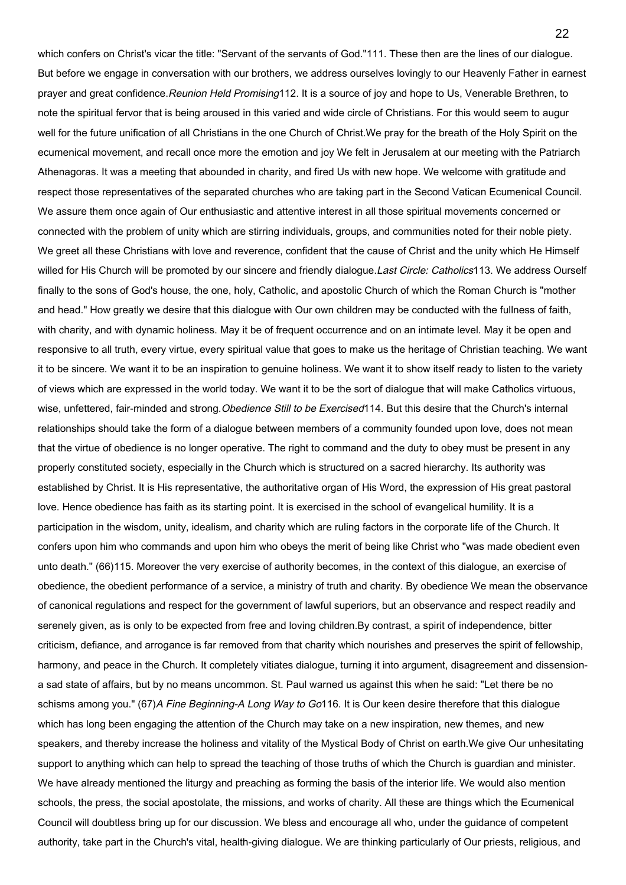which confers on Christ's vicar the title: "Servant of the servants of God."111. These then are the lines of our dialogue. But before we engage in conversation with our brothers, we address ourselves lovingly to our Heavenly Father in earnest prayer and great confidence. Reunion Held Promising112. It is a source of joy and hope to Us, Venerable Brethren, to note the spiritual fervor that is being aroused in this varied and wide circle of Christians. For this would seem to augur well for the future unification of all Christians in the one Church of Christ.We pray for the breath of the Holy Spirit on the ecumenical movement, and recall once more the emotion and joy We felt in Jerusalem at our meeting with the Patriarch Athenagoras. It was a meeting that abounded in charity, and fired Us with new hope. We welcome with gratitude and respect those representatives of the separated churches who are taking part in the Second Vatican Ecumenical Council. We assure them once again of Our enthusiastic and attentive interest in all those spiritual movements concerned or connected with the problem of unity which are stirring individuals, groups, and communities noted for their noble piety. We greet all these Christians with love and reverence, confident that the cause of Christ and the unity which He Himself willed for His Church will be promoted by our sincere and friendly dialogue.Last Circle: Catholics113. We address Ourself finally to the sons of God's house, the one, holy, Catholic, and apostolic Church of which the Roman Church is "mother and head." How greatly we desire that this dialogue with Our own children may be conducted with the fullness of faith, with charity, and with dynamic holiness. May it be of frequent occurrence and on an intimate level. May it be open and responsive to all truth, every virtue, every spiritual value that goes to make us the heritage of Christian teaching. We want it to be sincere. We want it to be an inspiration to genuine holiness. We want it to show itself ready to listen to the variety of views which are expressed in the world today. We want it to be the sort of dialogue that will make Catholics virtuous, wise, unfettered, fair-minded and strong. Obedience Still to be Exercised114. But this desire that the Church's internal relationships should take the form of a dialogue between members of a community founded upon love, does not mean that the virtue of obedience is no longer operative. The right to command and the duty to obey must be present in any properly constituted society, especially in the Church which is structured on a sacred hierarchy. Its authority was established by Christ. It is His representative, the authoritative organ of His Word, the expression of His great pastoral love. Hence obedience has faith as its starting point. It is exercised in the school of evangelical humility. It is a participation in the wisdom, unity, idealism, and charity which are ruling factors in the corporate life of the Church. It confers upon him who commands and upon him who obeys the merit of being like Christ who "was made obedient even unto death." (66)115. Moreover the very exercise of authority becomes, in the context of this dialogue, an exercise of obedience, the obedient performance of a service, a ministry of truth and charity. By obedience We mean the observance of canonical regulations and respect for the government of lawful superiors, but an observance and respect readily and serenely given, as is only to be expected from free and loving children.By contrast, a spirit of independence, bitter criticism, defiance, and arrogance is far removed from that charity which nourishes and preserves the spirit of fellowship, harmony, and peace in the Church. It completely vitiates dialogue, turning it into argument, disagreement and dissensiona sad state of affairs, but by no means uncommon. St. Paul warned us against this when he said: "Let there be no schisms among you." (67)A Fine Beginning-A Long Way to Go116. It is Our keen desire therefore that this dialogue which has long been engaging the attention of the Church may take on a new inspiration, new themes, and new speakers, and thereby increase the holiness and vitality of the Mystical Body of Christ on earth.We give Our unhesitating support to anything which can help to spread the teaching of those truths of which the Church is guardian and minister. We have already mentioned the liturgy and preaching as forming the basis of the interior life. We would also mention schools, the press, the social apostolate, the missions, and works of charity. All these are things which the Ecumenical Council will doubtless bring up for our discussion. We bless and encourage all who, under the guidance of competent authority, take part in the Church's vital, health-giving dialogue. We are thinking particularly of Our priests, religious, and